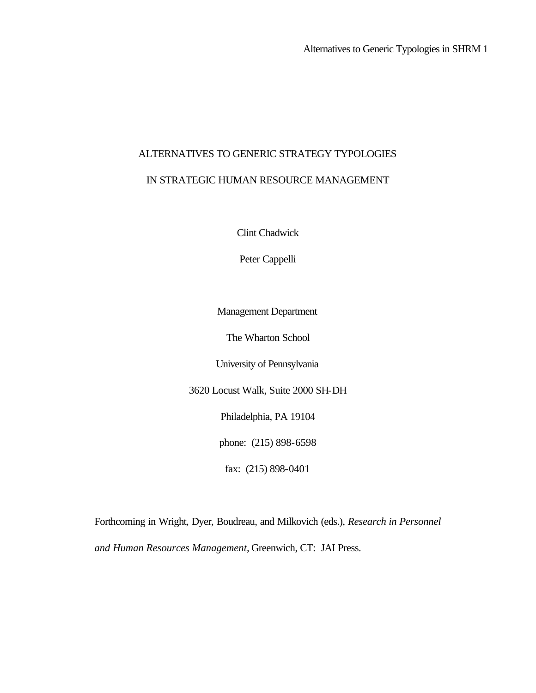# ALTERNATIVES TO GENERIC STRATEGY TYPOLOGIES

## IN STRATEGIC HUMAN RESOURCE MANAGEMENT

Clint Chadwick

Peter Cappelli

Management Department

The Wharton School

University of Pennsylvania

3620 Locust Walk, Suite 2000 SH-DH

Philadelphia, PA 19104

phone: (215) 898-6598

fax: (215) 898-0401

Forthcoming in Wright, Dyer, Boudreau, and Milkovich (eds.), *Research in Personnel and Human Resources Management,* Greenwich, CT: JAI Press.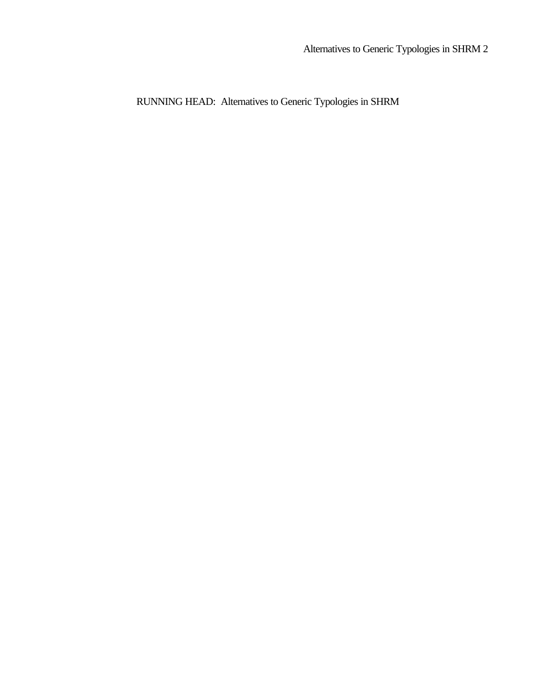RUNNING HEAD: Alternatives to Generic Typologies in SHRM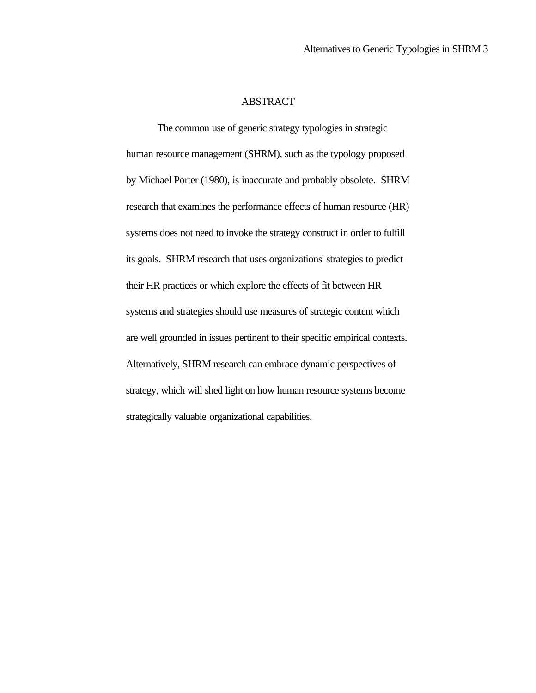#### ABSTRACT

The common use of generic strategy typologies in strategic human resource management (SHRM), such as the typology proposed by Michael Porter (1980), is inaccurate and probably obsolete. SHRM research that examines the performance effects of human resource (HR) systems does not need to invoke the strategy construct in order to fulfill its goals. SHRM research that uses organizations' strategies to predict their HR practices or which explore the effects of fit between HR systems and strategies should use measures of strategic content which are well grounded in issues pertinent to their specific empirical contexts. Alternatively, SHRM research can embrace dynamic perspectives of strategy, which will shed light on how human resource systems become strategically valuable organizational capabilities.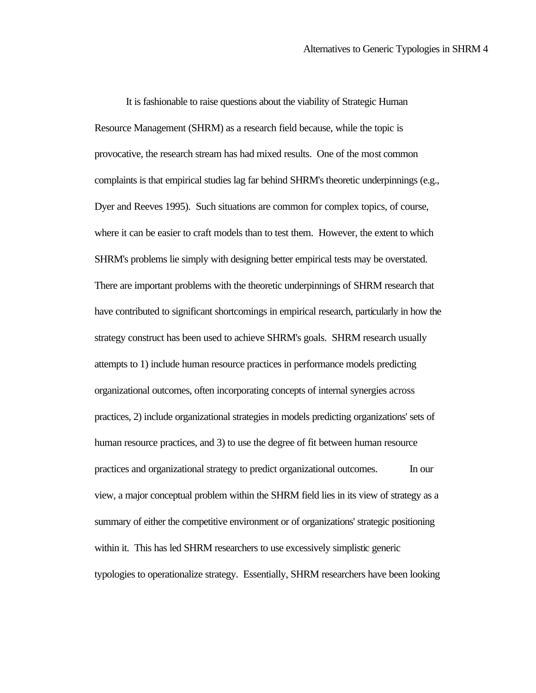It is fashionable to raise questions about the viability of Strategic Human Resource Management (SHRM) as a research field because, while the topic is provocative, the research stream has had mixed results. One of the most common complaints is that empirical studies lag far behind SHRM's theoretic underpinnings (e.g., Dyer and Reeves 1995). Such situations are common for complex topics, of course, where it can be easier to craft models than to test them. However, the extent to which SHRM's problems lie simply with designing better empirical tests may be overstated. There are important problems with the theoretic underpinnings of SHRM research that have contributed to significant shortcomings in empirical research, particularly in how the strategy construct has been used to achieve SHRM's goals. SHRM research usually attempts to 1) include human resource practices in performance models predicting organizational outcomes, often incorporating concepts of internal synergies across practices, 2) include organizational strategies in models predicting organizations' sets of human resource practices, and 3) to use the degree of fit between human resource practices and organizational strategy to predict organizational outcomes. In our view, a major conceptual problem within the SHRM field lies in its view of strategy as a summary of either the competitive environment or of organizations' strategic positioning within it. This has led SHRM researchers to use excessively simplistic generic typologies to operationalize strategy. Essentially, SHRM researchers have been looking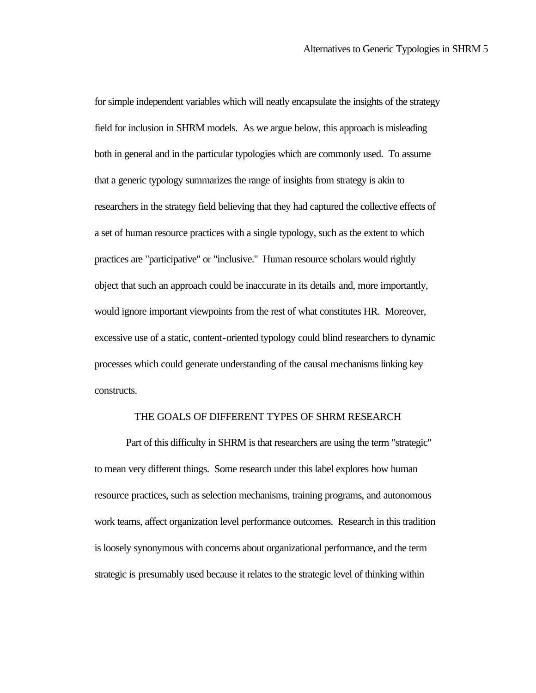for simple independent variables which will neatly encapsulate the insights of the strategy field for inclusion in SHRM models. As we argue below, this approach is misleading both in general and in the particular typologies which are commonly used. To assume that a generic typology summarizes the range of insights from strategy is akin to researchers in the strategy field believing that they had captured the collective effects of a set of human resource practices with a single typology, such as the extent to which practices are "participative" or "inclusive." Human resource scholars would rightly object that such an approach could be inaccurate in its details and, more importantly, would ignore important viewpoints from the rest of what constitutes HR. Moreover, excessive use of a static, content-oriented typology could blind researchers to dynamic processes which could generate understanding of the causal mechanisms linking key constructs.

#### THE GOALS OF DIFFERENT TYPES OF SHRM RESEARCH

Part of this difficulty in SHRM is that researchers are using the term "strategic" to mean very different things. Some research under this label explores how human resource practices, such as selection mechanisms, training programs, and autonomous work teams, affect organization level performance outcomes. Research in this tradition is loosely synonymous with concerns about organizational performance, and the term strategic is presumably used because it relates to the strategic level of thinking within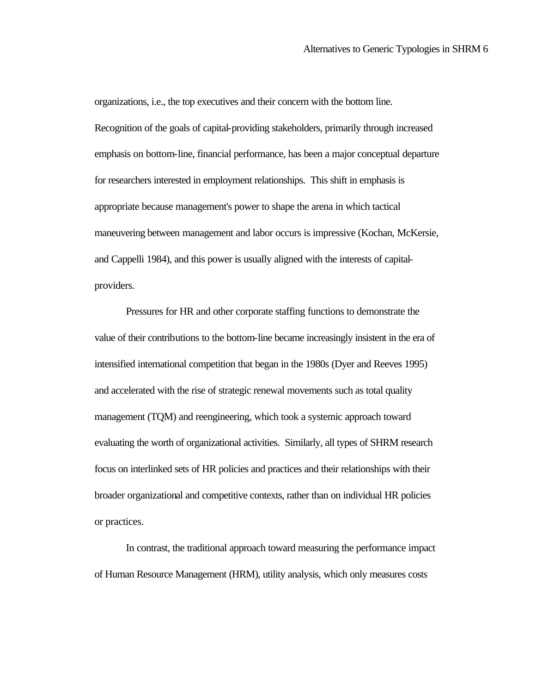organizations, i.e., the top executives and their concern with the bottom line. Recognition of the goals of capital-providing stakeholders, primarily through increased emphasis on bottom-line, financial performance, has been a major conceptual departure for researchers interested in employment relationships. This shift in emphasis is appropriate because management's power to shape the arena in which tactical maneuvering between management and labor occurs is impressive (Kochan, McKersie, and Cappelli 1984), and this power is usually aligned with the interests of capitalproviders.

Pressures for HR and other corporate staffing functions to demonstrate the value of their contributions to the bottom-line became increasingly insistent in the era of intensified international competition that began in the 1980s (Dyer and Reeves 1995) and accelerated with the rise of strategic renewal movements such as total quality management (TQM) and reengineering, which took a systemic approach toward evaluating the worth of organizational activities. Similarly, all types of SHRM research focus on interlinked sets of HR policies and practices and their relationships with their broader organizational and competitive contexts, rather than on individual HR policies or practices.

In contrast, the traditional approach toward measuring the performance impact of Human Resource Management (HRM), utility analysis, which only measures costs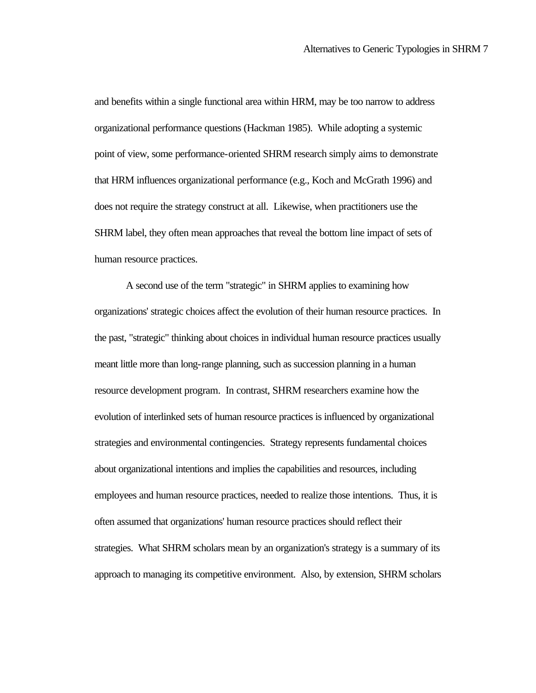and benefits within a single functional area within HRM, may be too narrow to address organizational performance questions (Hackman 1985). While adopting a systemic point of view, some performance-oriented SHRM research simply aims to demonstrate that HRM influences organizational performance (e.g., Koch and McGrath 1996) and does not require the strategy construct at all. Likewise, when practitioners use the SHRM label, they often mean approaches that reveal the bottom line impact of sets of human resource practices.

A second use of the term "strategic" in SHRM applies to examining how organizations' strategic choices affect the evolution of their human resource practices. In the past, "strategic" thinking about choices in individual human resource practices usually meant little more than long-range planning, such as succession planning in a human resource development program. In contrast, SHRM researchers examine how the evolution of interlinked sets of human resource practices is influenced by organizational strategies and environmental contingencies. Strategy represents fundamental choices about organizational intentions and implies the capabilities and resources, including employees and human resource practices, needed to realize those intentions. Thus, it is often assumed that organizations' human resource practices should reflect their strategies. What SHRM scholars mean by an organization's strategy is a summary of its approach to managing its competitive environment. Also, by extension, SHRM scholars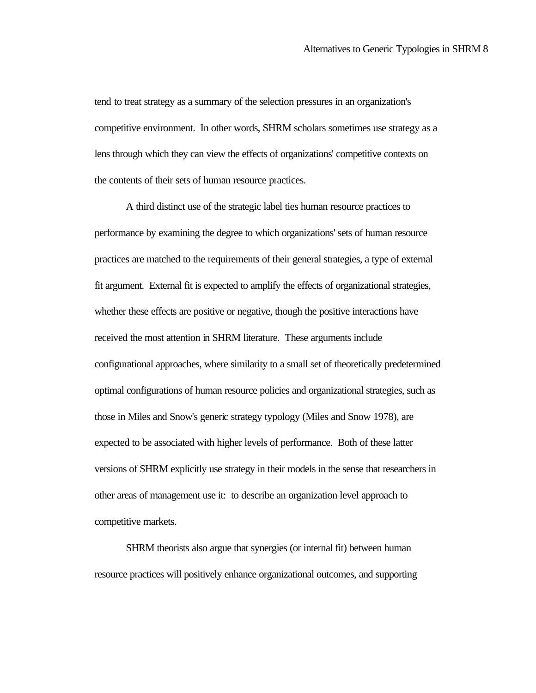tend to treat strategy as a summary of the selection pressures in an organization's competitive environment. In other words, SHRM scholars sometimes use strategy as a lens through which they can view the effects of organizations' competitive contexts on the contents of their sets of human resource practices.

A third distinct use of the strategic label ties human resource practices to performance by examining the degree to which organizations' sets of human resource practices are matched to the requirements of their general strategies, a type of external fit argument. External fit is expected to amplify the effects of organizational strategies, whether these effects are positive or negative, though the positive interactions have received the most attention in SHRM literature. These arguments include configurational approaches, where similarity to a small set of theoretically predetermined optimal configurations of human resource policies and organizational strategies, such as those in Miles and Snow's generic strategy typology (Miles and Snow 1978), are expected to be associated with higher levels of performance. Both of these latter versions of SHRM explicitly use strategy in their models in the sense that researchers in other areas of management use it: to describe an organization level approach to competitive markets.

SHRM theorists also argue that synergies (or internal fit) between human resource practices will positively enhance organizational outcomes, and supporting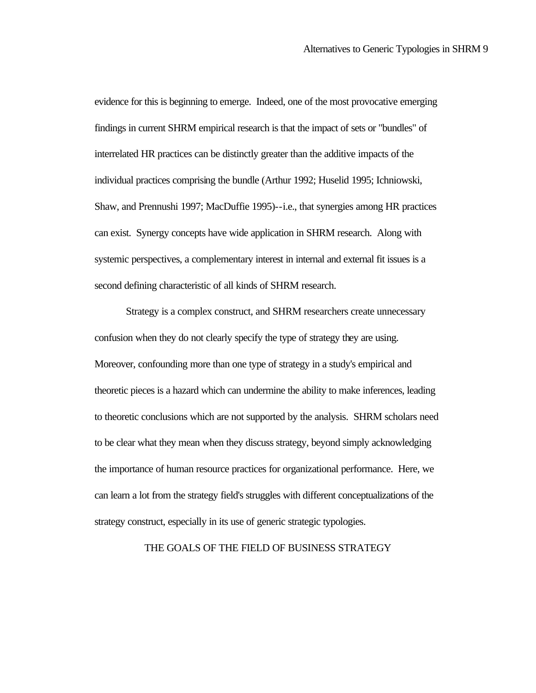evidence for this is beginning to emerge. Indeed, one of the most provocative emerging findings in current SHRM empirical research is that the impact of sets or "bundles" of interrelated HR practices can be distinctly greater than the additive impacts of the individual practices comprising the bundle (Arthur 1992; Huselid 1995; Ichniowski, Shaw, and Prennushi 1997; MacDuffie 1995)--i.e., that synergies among HR practices can exist. Synergy concepts have wide application in SHRM research. Along with systemic perspectives, a complementary interest in internal and external fit issues is a second defining characteristic of all kinds of SHRM research.

Strategy is a complex construct, and SHRM researchers create unnecessary confusion when they do not clearly specify the type of strategy they are using. Moreover, confounding more than one type of strategy in a study's empirical and theoretic pieces is a hazard which can undermine the ability to make inferences, leading to theoretic conclusions which are not supported by the analysis. SHRM scholars need to be clear what they mean when they discuss strategy, beyond simply acknowledging the importance of human resource practices for organizational performance. Here, we can learn a lot from the strategy field's struggles with different conceptualizations of the strategy construct, especially in its use of generic strategic typologies.

#### THE GOALS OF THE FIELD OF BUSINESS STRATEGY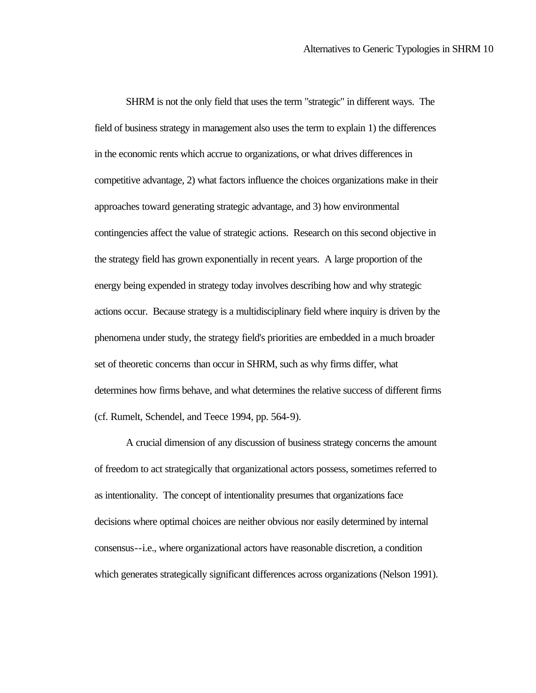SHRM is not the only field that uses the term "strategic" in different ways. The field of business strategy in management also uses the term to explain 1) the differences in the economic rents which accrue to organizations, or what drives differences in competitive advantage, 2) what factors influence the choices organizations make in their approaches toward generating strategic advantage, and 3) how environmental contingencies affect the value of strategic actions. Research on this second objective in the strategy field has grown exponentially in recent years. A large proportion of the energy being expended in strategy today involves describing how and why strategic actions occur. Because strategy is a multidisciplinary field where inquiry is driven by the phenomena under study, the strategy field's priorities are embedded in a much broader set of theoretic concerns than occur in SHRM, such as why firms differ, what determines how firms behave, and what determines the relative success of different firms (cf. Rumelt, Schendel, and Teece 1994, pp. 564-9).

A crucial dimension of any discussion of business strategy concerns the amount of freedom to act strategically that organizational actors possess, sometimes referred to as intentionality. The concept of intentionality presumes that organizations face decisions where optimal choices are neither obvious nor easily determined by internal consensus--i.e., where organizational actors have reasonable discretion, a condition which generates strategically significant differences across organizations (Nelson 1991).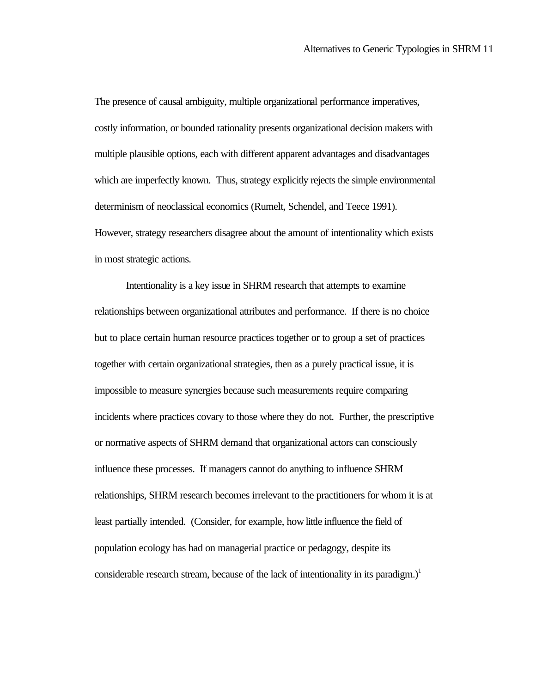The presence of causal ambiguity, multiple organizational performance imperatives, costly information, or bounded rationality presents organizational decision makers with multiple plausible options, each with different apparent advantages and disadvantages which are imperfectly known. Thus, strategy explicitly rejects the simple environmental determinism of neoclassical economics (Rumelt, Schendel, and Teece 1991). However, strategy researchers disagree about the amount of intentionality which exists in most strategic actions.

Intentionality is a key issue in SHRM research that attempts to examine relationships between organizational attributes and performance. If there is no choice but to place certain human resource practices together or to group a set of practices together with certain organizational strategies, then as a purely practical issue, it is impossible to measure synergies because such measurements require comparing incidents where practices covary to those where they do not. Further, the prescriptive or normative aspects of SHRM demand that organizational actors can consciously influence these processes. If managers cannot do anything to influence SHRM relationships, SHRM research becomes irrelevant to the practitioners for whom it is at least partially intended. (Consider, for example, how little influence the field of population ecology has had on managerial practice or pedagogy, despite its considerable research stream, because of the lack of intentionality in its paradigm.)<sup>1</sup>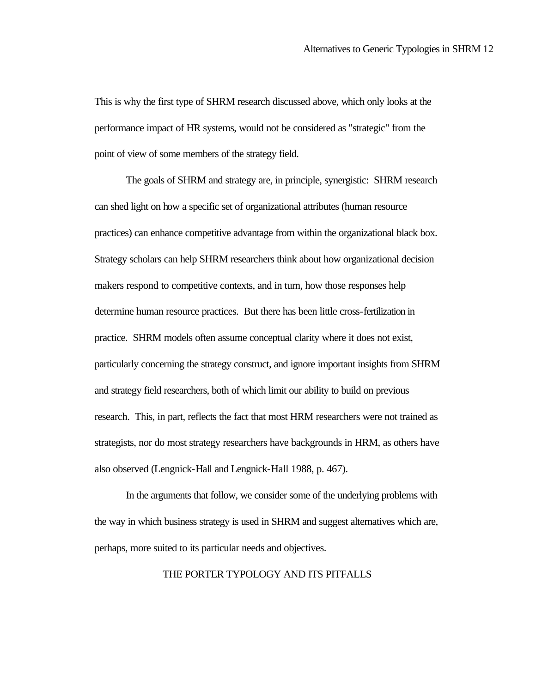This is why the first type of SHRM research discussed above, which only looks at the performance impact of HR systems, would not be considered as "strategic" from the point of view of some members of the strategy field.

The goals of SHRM and strategy are, in principle, synergistic: SHRM research can shed light on how a specific set of organizational attributes (human resource practices) can enhance competitive advantage from within the organizational black box. Strategy scholars can help SHRM researchers think about how organizational decision makers respond to competitive contexts, and in turn, how those responses help determine human resource practices. But there has been little cross-fertilization in practice. SHRM models often assume conceptual clarity where it does not exist, particularly concerning the strategy construct, and ignore important insights from SHRM and strategy field researchers, both of which limit our ability to build on previous research. This, in part, reflects the fact that most HRM researchers were not trained as strategists, nor do most strategy researchers have backgrounds in HRM, as others have also observed (Lengnick-Hall and Lengnick-Hall 1988, p. 467).

In the arguments that follow, we consider some of the underlying problems with the way in which business strategy is used in SHRM and suggest alternatives which are, perhaps, more suited to its particular needs and objectives.

#### THE PORTER TYPOLOGY AND ITS PITFALLS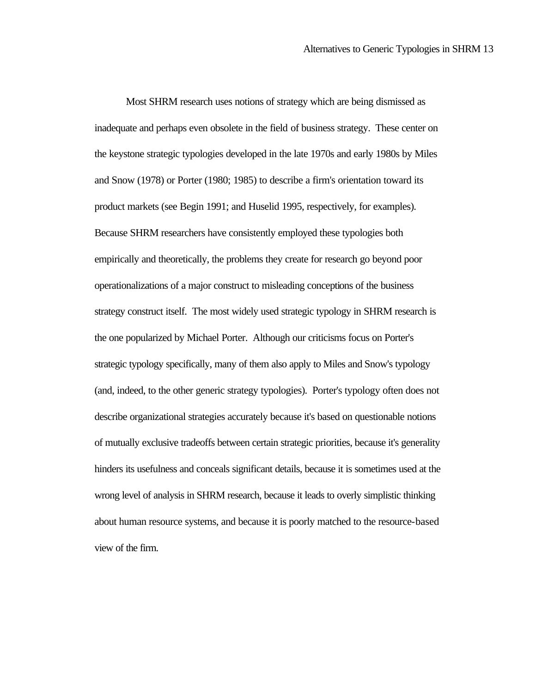Most SHRM research uses notions of strategy which are being dismissed as inadequate and perhaps even obsolete in the field of business strategy. These center on the keystone strategic typologies developed in the late 1970s and early 1980s by Miles and Snow (1978) or Porter (1980; 1985) to describe a firm's orientation toward its product markets (see Begin 1991; and Huselid 1995, respectively, for examples). Because SHRM researchers have consistently employed these typologies both empirically and theoretically, the problems they create for research go beyond poor operationalizations of a major construct to misleading conceptions of the business strategy construct itself. The most widely used strategic typology in SHRM research is the one popularized by Michael Porter. Although our criticisms focus on Porter's strategic typology specifically, many of them also apply to Miles and Snow's typology (and, indeed, to the other generic strategy typologies).Porter's typology often does not describe organizational strategies accurately because it's based on questionable notions of mutually exclusive tradeoffs between certain strategic priorities, because it's generality hinders its usefulness and conceals significant details, because it is sometimes used at the wrong level of analysis in SHRM research, because it leads to overly simplistic thinking about human resource systems, and because it is poorly matched to the resource-based view of the firm.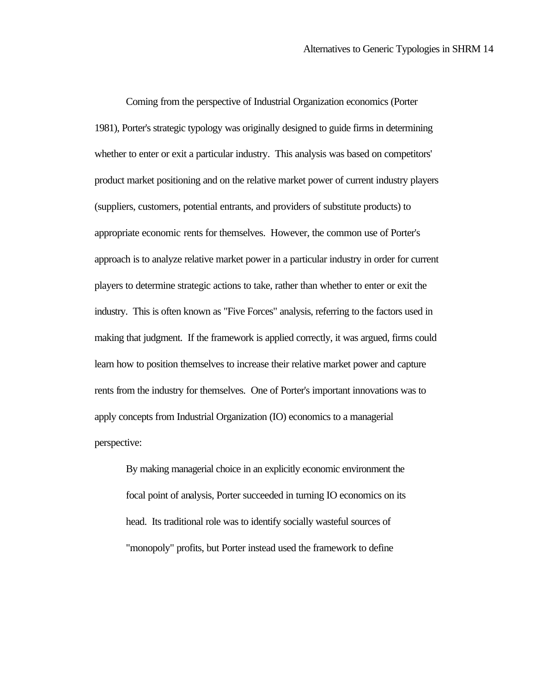Coming from the perspective of Industrial Organization economics (Porter 1981), Porter's strategic typology was originally designed to guide firms in determining whether to enter or exit a particular industry. This analysis was based on competitors' product market positioning and on the relative market power of current industry players (suppliers, customers, potential entrants, and providers of substitute products) to appropriate economic rents for themselves. However, the common use of Porter's approach is to analyze relative market power in a particular industry in order for current players to determine strategic actions to take, rather than whether to enter or exit the industry. This is often known as "Five Forces" analysis, referring to the factors used in making that judgment. If the framework is applied correctly, it was argued, firms could learn how to position themselves to increase their relative market power and capture rents from the industry for themselves. One of Porter's important innovations was to apply concepts from Industrial Organization (IO) economics to a managerial perspective:

By making managerial choice in an explicitly economic environment the focal point of analysis, Porter succeeded in turning IO economics on its head. Its traditional role was to identify socially wasteful sources of "monopoly" profits, but Porter instead used the framework to define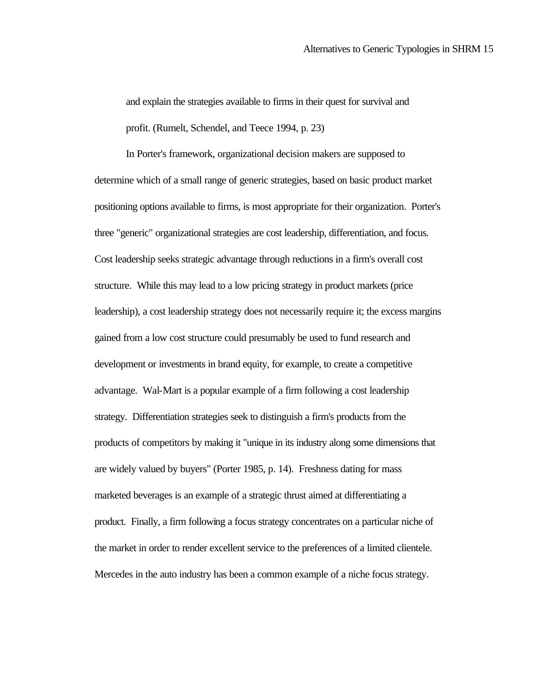and explain the strategies available to firms in their quest for survival and profit. (Rumelt, Schendel, and Teece 1994, p. 23)

In Porter's framework, organizational decision makers are supposed to determine which of a small range of generic strategies, based on basic product market positioning options available to firms, is most appropriate for their organization. Porter's three "generic" organizational strategies are cost leadership, differentiation, and focus. Cost leadership seeks strategic advantage through reductions in a firm's overall cost structure. While this may lead to a low pricing strategy in product markets (price leadership), a cost leadership strategy does not necessarily require it; the excess margins gained from a low cost structure could presumably be used to fund research and development or investments in brand equity, for example, to create a competitive advantage. Wal-Mart is a popular example of a firm following a cost leadership strategy. Differentiation strategies seek to distinguish a firm's products from the products of competitors by making it "unique in its industry along some dimensions that are widely valued by buyers" (Porter 1985, p. 14). Freshness dating for mass marketed beverages is an example of a strategic thrust aimed at differentiating a product. Finally, a firm following a focus strategy concentrates on a particular niche of the market in order to render excellent service to the preferences of a limited clientele. Mercedes in the auto industry has been a common example of a niche focus strategy.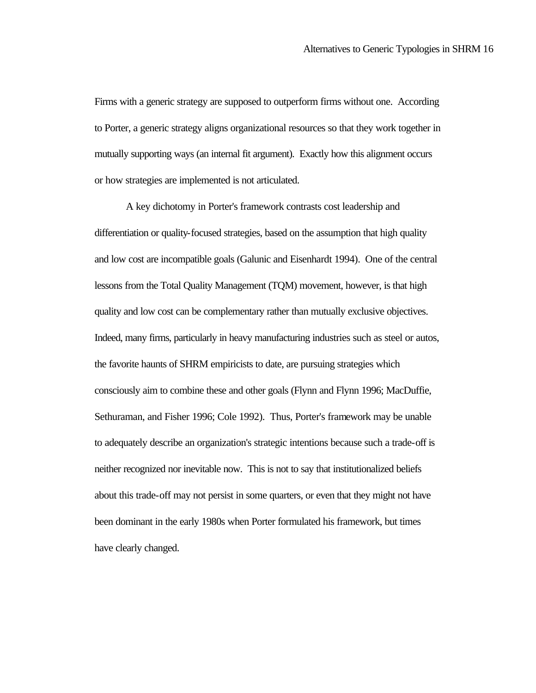Firms with a generic strategy are supposed to outperform firms without one. According to Porter, a generic strategy aligns organizational resources so that they work together in mutually supporting ways (an internal fit argument). Exactly how this alignment occurs or how strategies are implemented is not articulated.

A key dichotomy in Porter's framework contrasts cost leadership and differentiation or quality-focused strategies, based on the assumption that high quality and low cost are incompatible goals (Galunic and Eisenhardt 1994). One of the central lessons from the Total Quality Management (TQM) movement, however, is that high quality and low cost can be complementary rather than mutually exclusive objectives. Indeed, many firms, particularly in heavy manufacturing industries such as steel or autos, the favorite haunts of SHRM empiricists to date, are pursuing strategies which consciously aim to combine these and other goals (Flynn and Flynn 1996; MacDuffie, Sethuraman, and Fisher 1996; Cole 1992). Thus, Porter's framework may be unable to adequately describe an organization's strategic intentions because such a trade-off is neither recognized nor inevitable now. This is not to say that institutionalized beliefs about this trade-off may not persist in some quarters, or even that they might not have been dominant in the early 1980s when Porter formulated his framework, but times have clearly changed.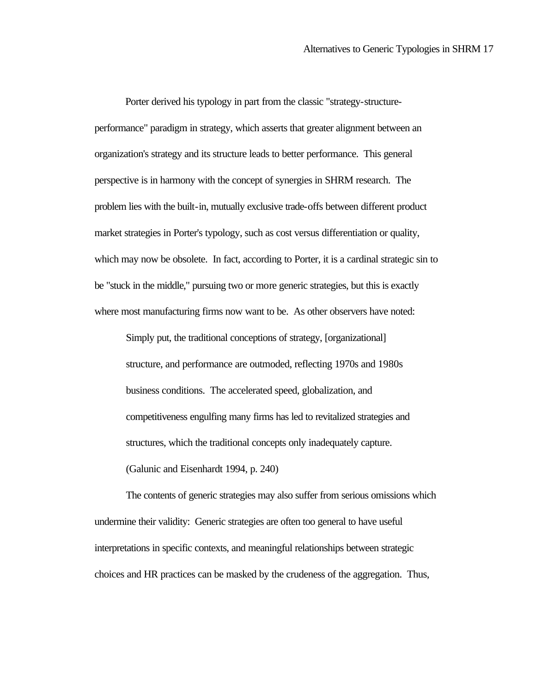Porter derived his typology in part from the classic "strategy-structureperformance" paradigm in strategy, which asserts that greater alignment between an organization's strategy and its structure leads to better performance. This general perspective is in harmony with the concept of synergies in SHRM research. The problem lies with the built-in, mutually exclusive trade-offs between different product market strategies in Porter's typology, such as cost versus differentiation or quality, which may now be obsolete. In fact, according to Porter, it is a cardinal strategic sin to be "stuck in the middle," pursuing two or more generic strategies, but this is exactly where most manufacturing firms now want to be. As other observers have noted:

Simply put, the traditional conceptions of strategy, [organizational] structure, and performance are outmoded, reflecting 1970s and 1980s business conditions. The accelerated speed, globalization, and competitiveness engulfing many firms has led to revitalized strategies and structures, which the traditional concepts only inadequately capture. (Galunic and Eisenhardt 1994, p. 240)

The contents of generic strategies may also suffer from serious omissions which undermine their validity: Generic strategies are often too general to have useful interpretations in specific contexts, and meaningful relationships between strategic choices and HR practices can be masked by the crudeness of the aggregation. Thus,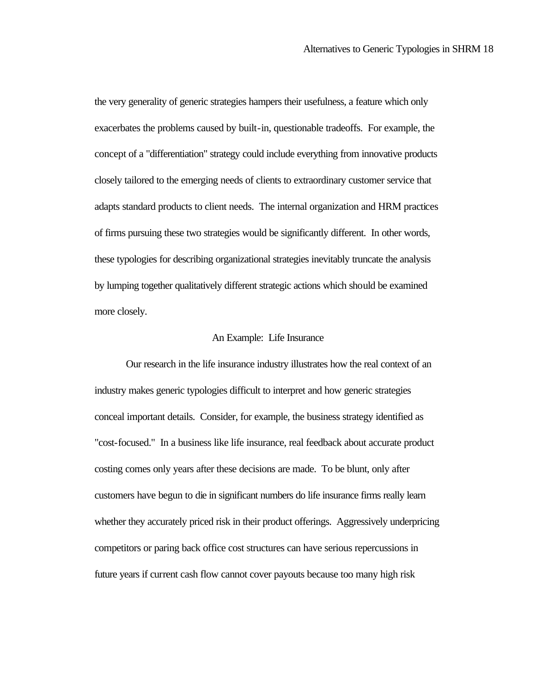the very generality of generic strategies hampers their usefulness, a feature which only exacerbates the problems caused by built-in, questionable tradeoffs. For example, the concept of a "differentiation" strategy could include everything from innovative products closely tailored to the emerging needs of clients to extraordinary customer service that adapts standard products to client needs. The internal organization and HRM practices of firms pursuing these two strategies would be significantly different. In other words, these typologies for describing organizational strategies inevitably truncate the analysis by lumping together qualitatively different strategic actions which should be examined more closely.

#### An Example: Life Insurance

Our research in the life insurance industry illustrates how the real context of an industry makes generic typologies difficult to interpret and how generic strategies conceal important details. Consider, for example, the business strategy identified as "cost-focused." In a business like life insurance, real feedback about accurate product costing comes only years after these decisions are made. To be blunt, only after customers have begun to die in significant numbers do life insurance firms really learn whether they accurately priced risk in their product offerings. Aggressively underpricing competitors or paring back office cost structures can have serious repercussions in future years if current cash flow cannot cover payouts because too many high risk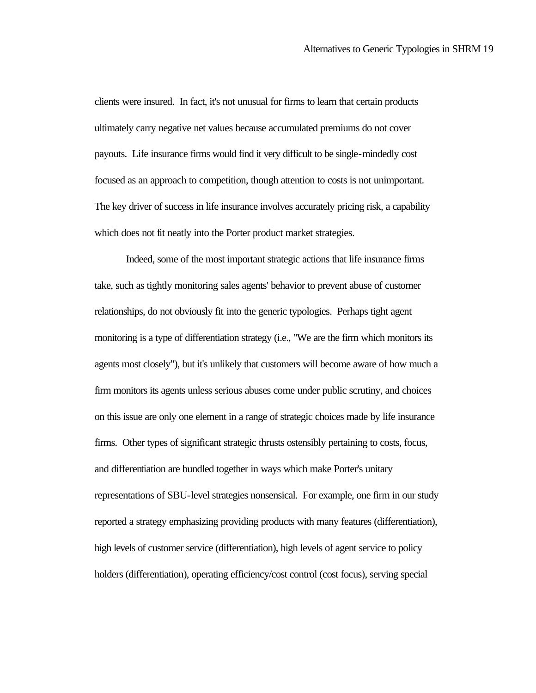clients were insured. In fact, it's not unusual for firms to learn that certain products ultimately carry negative net values because accumulated premiums do not cover payouts. Life insurance firms would find it very difficult to be single-mindedly cost focused as an approach to competition, though attention to costs is not unimportant. The key driver of success in life insurance involves accurately pricing risk, a capability which does not fit neatly into the Porter product market strategies.

Indeed, some of the most important strategic actions that life insurance firms take, such as tightly monitoring sales agents' behavior to prevent abuse of customer relationships, do not obviously fit into the generic typologies. Perhaps tight agent monitoring is a type of differentiation strategy (i.e., "We are the firm which monitors its agents most closely"), but it's unlikely that customers will become aware of how much a firm monitors its agents unless serious abuses come under public scrutiny, and choices on this issue are only one element in a range of strategic choices made by life insurance firms. Other types of significant strategic thrusts ostensibly pertaining to costs, focus, and differentiation are bundled together in ways which make Porter's unitary representations of SBU-level strategies nonsensical. For example, one firm in our study reported a strategy emphasizing providing products with many features (differentiation), high levels of customer service (differentiation), high levels of agent service to policy holders (differentiation), operating efficiency/cost control (cost focus), serving special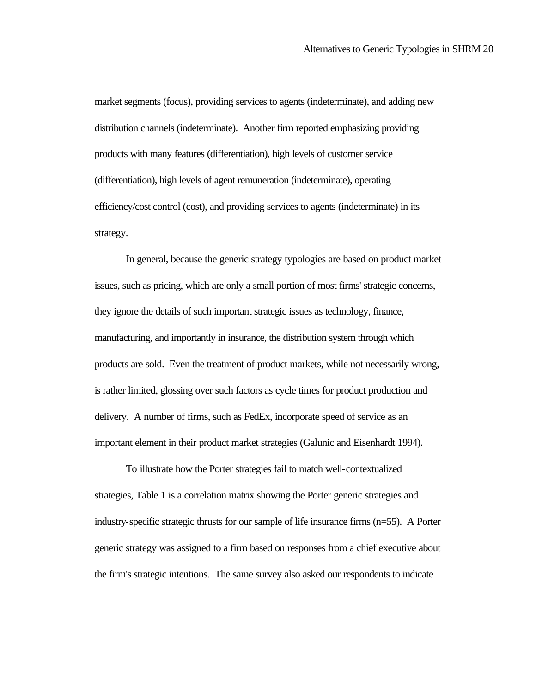market segments (focus), providing services to agents (indeterminate), and adding new distribution channels (indeterminate). Another firm reported emphasizing providing products with many features (differentiation), high levels of customer service (differentiation), high levels of agent remuneration (indeterminate), operating efficiency/cost control (cost), and providing services to agents (indeterminate) in its strategy.

In general, because the generic strategy typologies are based on product market issues, such as pricing, which are only a small portion of most firms' strategic concerns, they ignore the details of such important strategic issues as technology, finance, manufacturing, and importantly in insurance, the distribution system through which products are sold. Even the treatment of product markets, while not necessarily wrong, is rather limited, glossing over such factors as cycle times for product production and delivery. A number of firms, such as FedEx, incorporate speed of service as an important element in their product market strategies (Galunic and Eisenhardt 1994).

To illustrate how the Porter strategies fail to match well-contextualized strategies, Table 1 is a correlation matrix showing the Porter generic strategies and industry-specific strategic thrusts for our sample of life insurance firms (n=55). A Porter generic strategy was assigned to a firm based on responses from a chief executive about the firm's strategic intentions. The same survey also asked our respondents to indicate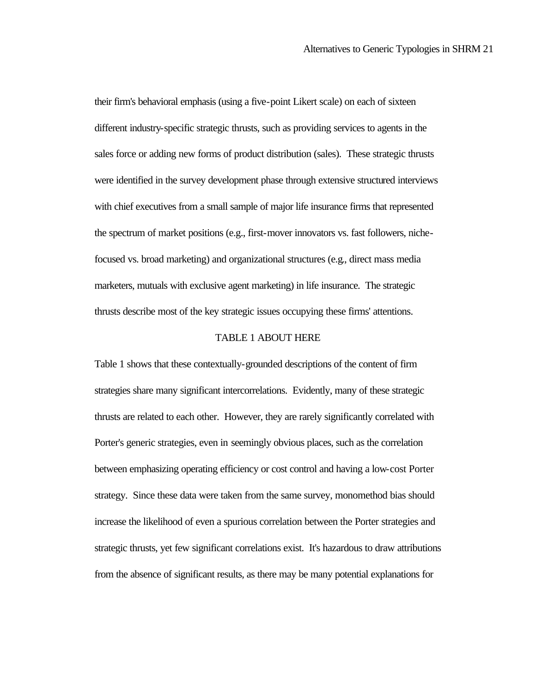their firm's behavioral emphasis (using a five-point Likert scale) on each of sixteen different industry-specific strategic thrusts, such as providing services to agents in the sales force or adding new forms of product distribution (sales). These strategic thrusts were identified in the survey development phase through extensive structured interviews with chief executives from a small sample of major life insurance firms that represented the spectrum of market positions (e.g., first-mover innovators vs. fast followers, nichefocused vs. broad marketing) and organizational structures (e.g., direct mass media marketers, mutuals with exclusive agent marketing) in life insurance. The strategic thrusts describe most of the key strategic issues occupying these firms' attentions.

#### TABLE 1 ABOUT HERE

Table 1 shows that these contextually-grounded descriptions of the content of firm strategies share many significant intercorrelations. Evidently, many of these strategic thrusts are related to each other. However, they are rarely significantly correlated with Porter's generic strategies, even in seemingly obvious places, such as the correlation between emphasizing operating efficiency or cost control and having a low-cost Porter strategy. Since these data were taken from the same survey, monomethod bias should increase the likelihood of even a spurious correlation between the Porter strategies and strategic thrusts, yet few significant correlations exist. It's hazardous to draw attributions from the absence of significant results, as there may be many potential explanations for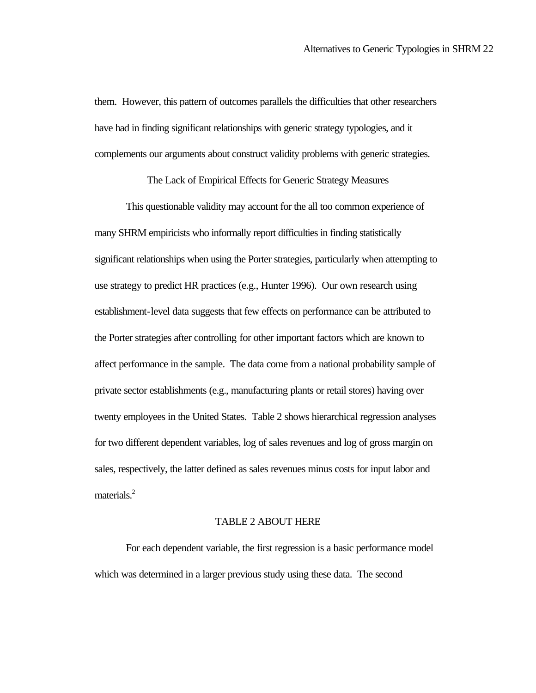them. However, this pattern of outcomes parallels the difficulties that other researchers have had in finding significant relationships with generic strategy typologies, and it complements our arguments about construct validity problems with generic strategies.

The Lack of Empirical Effects for Generic Strategy Measures

This questionable validity may account for the all too common experience of many SHRM empiricists who informally report difficulties in finding statistically significant relationships when using the Porter strategies, particularly when attempting to use strategy to predict HR practices (e.g., Hunter 1996). Our own research using establishment-level data suggests that few effects on performance can be attributed to the Porter strategies after controlling for other important factors which are known to affect performance in the sample. The data come from a national probability sample of private sector establishments (e.g., manufacturing plants or retail stores) having over twenty employees in the United States. Table 2 shows hierarchical regression analyses for two different dependent variables, log of sales revenues and log of gross margin on sales, respectively, the latter defined as sales revenues minus costs for input labor and materials.<sup>2</sup>

#### TABLE 2 ABOUT HERE

For each dependent variable, the first regression is a basic performance model which was determined in a larger previous study using these data. The second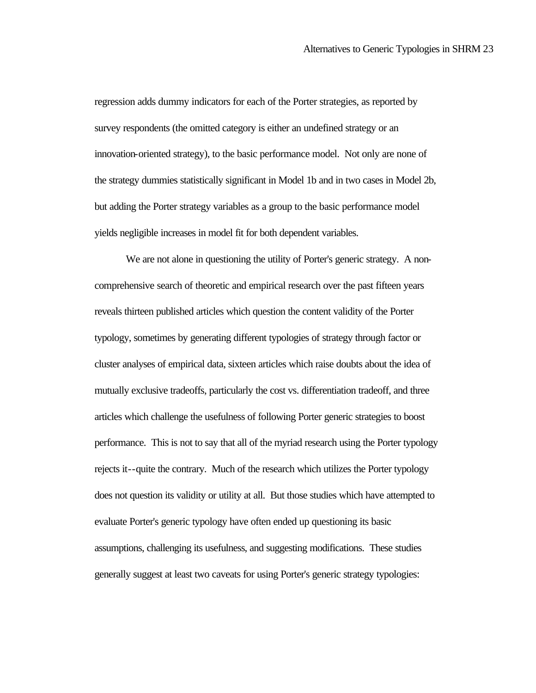regression adds dummy indicators for each of the Porter strategies, as reported by survey respondents (the omitted category is either an undefined strategy or an innovation-oriented strategy), to the basic performance model. Not only are none of the strategy dummies statistically significant in Model 1b and in two cases in Model 2b, but adding the Porter strategy variables as a group to the basic performance model yields negligible increases in model fit for both dependent variables.

We are not alone in questioning the utility of Porter's generic strategy. A noncomprehensive search of theoretic and empirical research over the past fifteen years reveals thirteen published articles which question the content validity of the Porter typology, sometimes by generating different typologies of strategy through factor or cluster analyses of empirical data, sixteen articles which raise doubts about the idea of mutually exclusive tradeoffs, particularly the cost vs. differentiation tradeoff, and three articles which challenge the usefulness of following Porter generic strategies to boost performance. This is not to say that all of the myriad research using the Porter typology rejects it--quite the contrary. Much of the research which utilizes the Porter typology does not question its validity or utility at all. But those studies which have attempted to evaluate Porter's generic typology have often ended up questioning its basic assumptions, challenging its usefulness, and suggesting modifications. These studies generally suggest at least two caveats for using Porter's generic strategy typologies: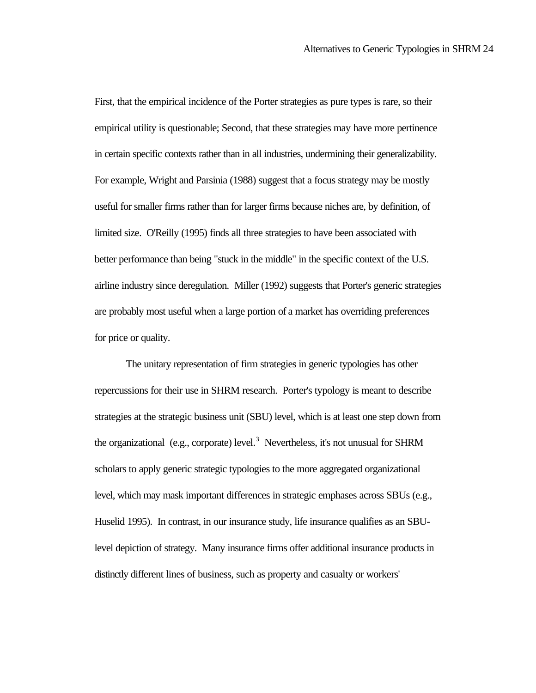First, that the empirical incidence of the Porter strategies as pure types is rare, so their empirical utility is questionable; Second, that these strategies may have more pertinence in certain specific contexts rather than in all industries, undermining their generalizability. For example, Wright and Parsinia (1988) suggest that a focus strategy may be mostly useful for smaller firms rather than for larger firms because niches are, by definition, of limited size. O'Reilly (1995) finds all three strategies to have been associated with better performance than being "stuck in the middle" in the specific context of the U.S. airline industry since deregulation. Miller (1992) suggests that Porter's generic strategies are probably most useful when a large portion of a market has overriding preferences for price or quality.

The unitary representation of firm strategies in generic typologies has other repercussions for their use in SHRM research. Porter's typology is meant to describe strategies at the strategic business unit (SBU) level, which is at least one step down from the organizational (e.g., corporate) level.<sup>3</sup> Nevertheless, it's not unusual for SHRM scholars to apply generic strategic typologies to the more aggregated organizational level, which may mask important differences in strategic emphases across SBUs (e.g., Huselid 1995). In contrast, in our insurance study, life insurance qualifies as an SBUlevel depiction of strategy. Many insurance firms offer additional insurance products in distinctly different lines of business, such as property and casualty or workers'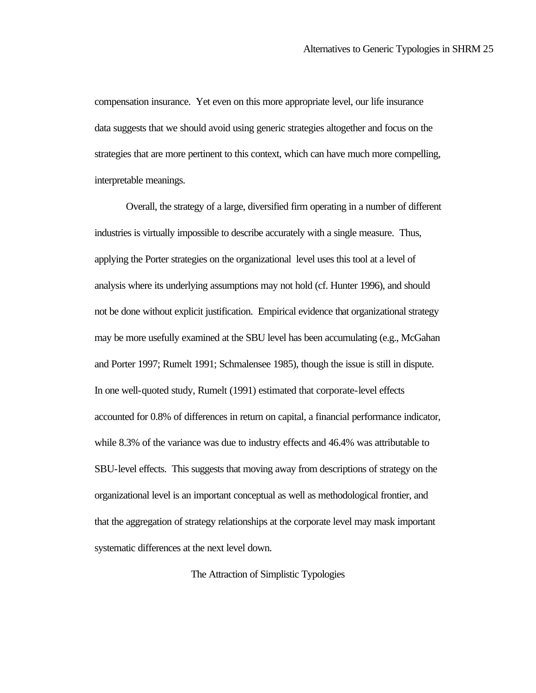compensation insurance. Yet even on this more appropriate level, our life insurance data suggests that we should avoid using generic strategies altogether and focus on the strategies that are more pertinent to this context, which can have much more compelling, interpretable meanings.

Overall, the strategy of a large, diversified firm operating in a number of different industries is virtually impossible to describe accurately with a single measure. Thus, applying the Porter strategies on the organizational level uses this tool at a level of analysis where its underlying assumptions may not hold (cf. Hunter 1996), and should not be done without explicit justification. Empirical evidence that organizational strategy may be more usefully examined at the SBU level has been accumulating (e.g., McGahan and Porter 1997; Rumelt 1991; Schmalensee 1985), though the issue is still in dispute. In one well-quoted study, Rumelt (1991) estimated that corporate-level effects accounted for 0.8% of differences in return on capital, a financial performance indicator, while 8.3% of the variance was due to industry effects and 46.4% was attributable to SBU-level effects. This suggests that moving away from descriptions of strategy on the organizational level is an important conceptual as well as methodological frontier, and that the aggregation of strategy relationships at the corporate level may mask important systematic differences at the next level down.

The Attraction of Simplistic Typologies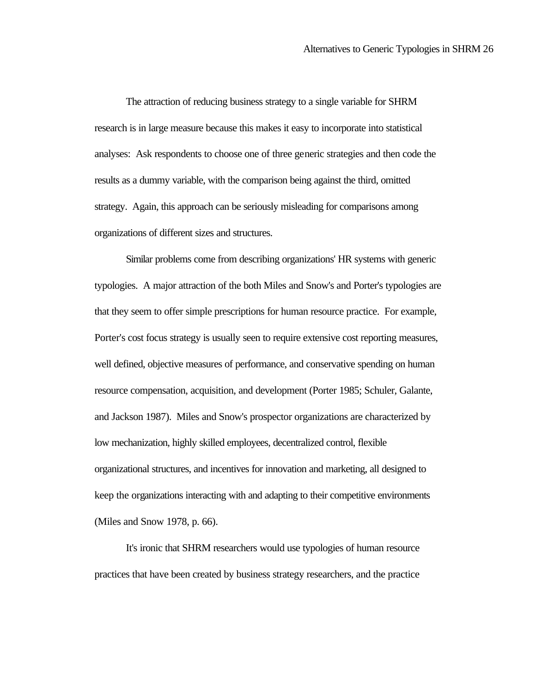The attraction of reducing business strategy to a single variable for SHRM research is in large measure because this makes it easy to incorporate into statistical analyses: Ask respondents to choose one of three generic strategies and then code the results as a dummy variable, with the comparison being against the third, omitted strategy. Again, this approach can be seriously misleading for comparisons among organizations of different sizes and structures.

Similar problems come from describing organizations' HR systems with generic typologies. A major attraction of the both Miles and Snow's and Porter's typologies are that they seem to offer simple prescriptions for human resource practice. For example, Porter's cost focus strategy is usually seen to require extensive cost reporting measures, well defined, objective measures of performance, and conservative spending on human resource compensation, acquisition, and development (Porter 1985; Schuler, Galante, and Jackson 1987). Miles and Snow's prospector organizations are characterized by low mechanization, highly skilled employees, decentralized control, flexible organizational structures, and incentives for innovation and marketing, all designed to keep the organizations interacting with and adapting to their competitive environments (Miles and Snow 1978, p. 66).

It's ironic that SHRM researchers would use typologies of human resource practices that have been created by business strategy researchers, and the practice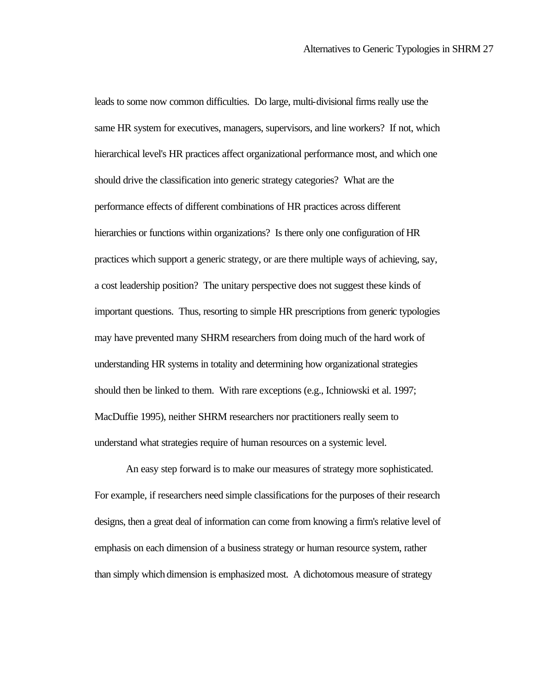leads to some now common difficulties. Do large, multi-divisional firms really use the same HR system for executives, managers, supervisors, and line workers? If not, which hierarchical level's HR practices affect organizational performance most, and which one should drive the classification into generic strategy categories? What are the performance effects of different combinations of HR practices across different hierarchies or functions within organizations? Is there only one configuration of HR practices which support a generic strategy, or are there multiple ways of achieving, say, a cost leadership position? The unitary perspective does not suggest these kinds of important questions. Thus, resorting to simple HR prescriptions from generic typologies may have prevented many SHRM researchers from doing much of the hard work of understanding HR systems in totality and determining how organizational strategies should then be linked to them. With rare exceptions (e.g., Ichniowski et al. 1997; MacDuffie 1995), neither SHRM researchers nor practitioners really seem to understand what strategies require of human resources on a systemic level.

An easy step forward is to make our measures of strategy more sophisticated. For example, if researchers need simple classifications for the purposes of their research designs, then a great deal of information can come from knowing a firm's relative level of emphasis on each dimension of a business strategy or human resource system, rather than simply which dimension is emphasized most. A dichotomous measure of strategy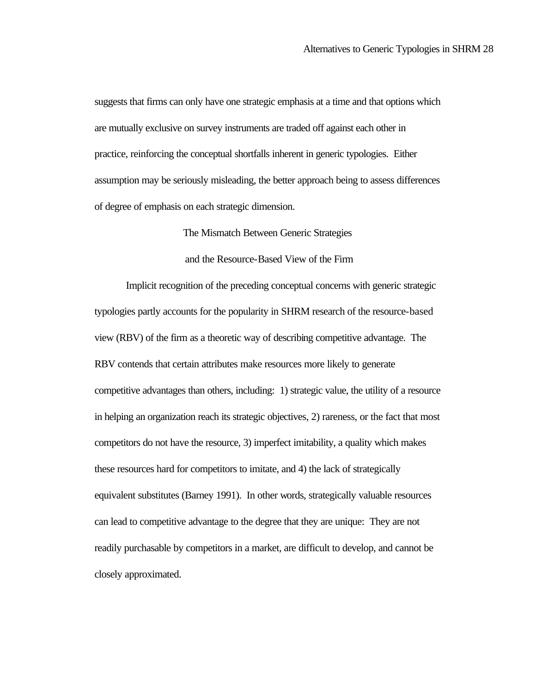suggests that firms can only have one strategic emphasis at a time and that options which are mutually exclusive on survey instruments are traded off against each other in practice, reinforcing the conceptual shortfalls inherent in generic typologies. Either assumption may be seriously misleading, the better approach being to assess differences of degree of emphasis on each strategic dimension.

The Mismatch Between Generic Strategies

and the Resource-Based View of the Firm

Implicit recognition of the preceding conceptual concerns with generic strategic typologies partly accounts for the popularity in SHRM research of the resource-based view (RBV) of the firm as a theoretic way of describing competitive advantage. The RBV contends that certain attributes make resources more likely to generate competitive advantages than others, including: 1) strategic value, the utility of a resource in helping an organization reach its strategic objectives, 2) rareness, or the fact that most competitors do not have the resource, 3) imperfect imitability, a quality which makes these resources hard for competitors to imitate, and 4) the lack of strategically equivalent substitutes (Barney 1991). In other words, strategically valuable resources can lead to competitive advantage to the degree that they are unique: They are not readily purchasable by competitors in a market, are difficult to develop, and cannot be closely approximated.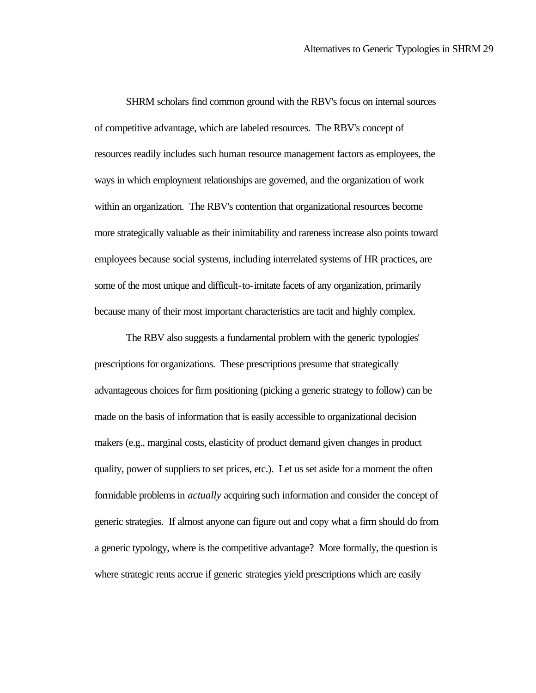SHRM scholars find common ground with the RBV's focus on internal sources of competitive advantage, which are labeled resources. The RBV's concept of resources readily includes such human resource management factors as employees, the ways in which employment relationships are governed, and the organization of work within an organization. The RBV's contention that organizational resources become more strategically valuable as their inimitability and rareness increase also points toward employees because social systems, including interrelated systems of HR practices, are some of the most unique and difficult-to-imitate facets of any organization, primarily because many of their most important characteristics are tacit and highly complex.

The RBV also suggests a fundamental problem with the generic typologies' prescriptions for organizations. These prescriptions presume that strategically advantageous choices for firm positioning (picking a generic strategy to follow) can be made on the basis of information that is easily accessible to organizational decision makers (e.g., marginal costs, elasticity of product demand given changes in product quality, power of suppliers to set prices, etc.). Let us set aside for a moment the often formidable problems in *actually* acquiring such information and consider the concept of generic strategies. If almost anyone can figure out and copy what a firm should do from a generic typology, where is the competitive advantage? More formally, the question is where strategic rents accrue if generic strategies yield prescriptions which are easily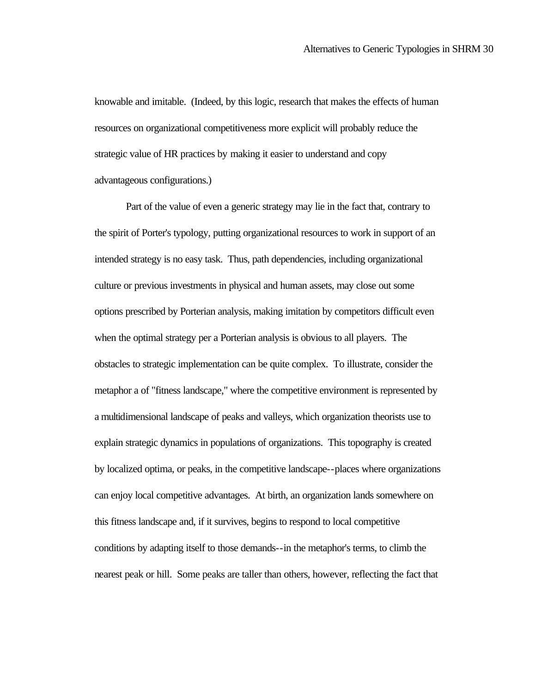knowable and imitable. (Indeed, by this logic, research that makes the effects of human resources on organizational competitiveness more explicit will probably reduce the strategic value of HR practices by making it easier to understand and copy advantageous configurations.)

Part of the value of even a generic strategy may lie in the fact that, contrary to the spirit of Porter's typology, putting organizational resources to work in support of an intended strategy is no easy task. Thus, path dependencies, including organizational culture or previous investments in physical and human assets, may close out some options prescribed by Porterian analysis, making imitation by competitors difficult even when the optimal strategy per a Porterian analysis is obvious to all players. The obstacles to strategic implementation can be quite complex. To illustrate, consider the metaphor a of "fitness landscape," where the competitive environment is represented by a multidimensional landscape of peaks and valleys, which organization theorists use to explain strategic dynamics in populations of organizations. This topography is created by localized optima, or peaks, in the competitive landscape--places where organizations can enjoy local competitive advantages. At birth, an organization lands somewhere on this fitness landscape and, if it survives, begins to respond to local competitive conditions by adapting itself to those demands--in the metaphor's terms, to climb the nearest peak or hill. Some peaks are taller than others, however, reflecting the fact that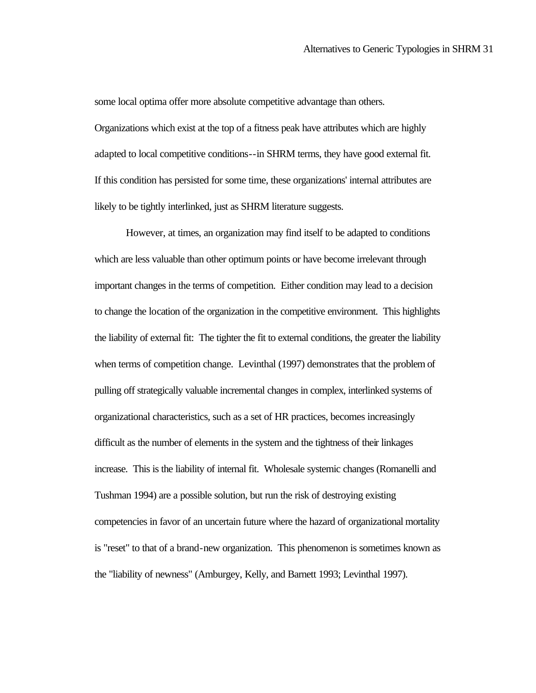some local optima offer more absolute competitive advantage than others.

Organizations which exist at the top of a fitness peak have attributes which are highly adapted to local competitive conditions--in SHRM terms, they have good external fit. If this condition has persisted for some time, these organizations' internal attributes are likely to be tightly interlinked, just as SHRM literature suggests.

However, at times, an organization may find itself to be adapted to conditions which are less valuable than other optimum points or have become irrelevant through important changes in the terms of competition. Either condition may lead to a decision to change the location of the organization in the competitive environment. This highlights the liability of external fit: The tighter the fit to external conditions, the greater the liability when terms of competition change. Levinthal (1997) demonstrates that the problem of pulling off strategically valuable incremental changes in complex, interlinked systems of organizational characteristics, such as a set of HR practices, becomes increasingly difficult as the number of elements in the system and the tightness of their linkages increase. This is the liability of internal fit. Wholesale systemic changes (Romanelli and Tushman 1994) are a possible solution, but run the risk of destroying existing competencies in favor of an uncertain future where the hazard of organizational mortality is "reset" to that of a brand-new organization. This phenomenon is sometimes known as the "liability of newness" (Amburgey, Kelly, and Barnett 1993; Levinthal 1997).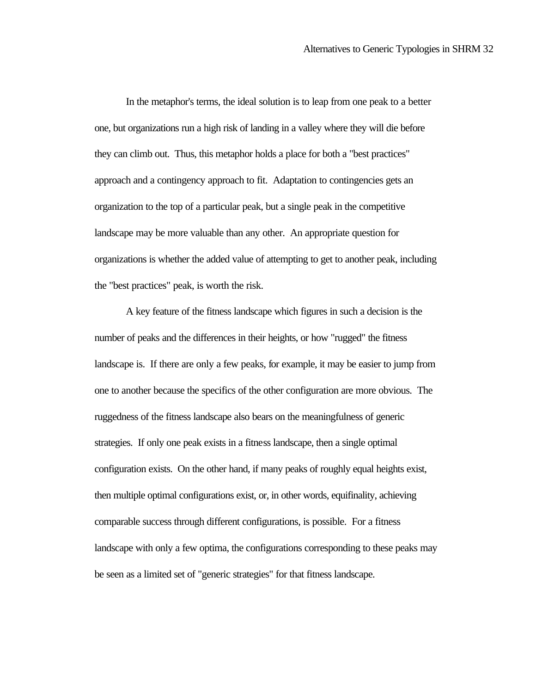In the metaphor's terms, the ideal solution is to leap from one peak to a better one, but organizations run a high risk of landing in a valley where they will die before they can climb out. Thus, this metaphor holds a place for both a "best practices" approach and a contingency approach to fit. Adaptation to contingencies gets an organization to the top of a particular peak, but a single peak in the competitive landscape may be more valuable than any other. An appropriate question for organizations is whether the added value of attempting to get to another peak, including the "best practices" peak, is worth the risk.

A key feature of the fitness landscape which figures in such a decision is the number of peaks and the differences in their heights, or how "rugged" the fitness landscape is. If there are only a few peaks, for example, it may be easier to jump from one to another because the specifics of the other configuration are more obvious. The ruggedness of the fitness landscape also bears on the meaningfulness of generic strategies. If only one peak exists in a fitness landscape, then a single optimal configuration exists. On the other hand, if many peaks of roughly equal heights exist, then multiple optimal configurations exist, or, in other words, equifinality, achieving comparable success through different configurations, is possible. For a fitness landscape with only a few optima, the configurations corresponding to these peaks may be seen as a limited set of "generic strategies" for that fitness landscape.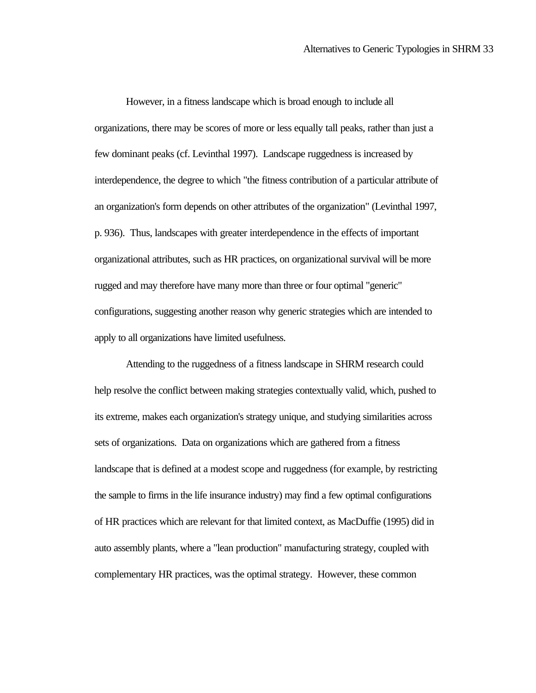However, in a fitness landscape which is broad enough to include all organizations, there may be scores of more or less equally tall peaks, rather than just a few dominant peaks (cf. Levinthal 1997). Landscape ruggedness is increased by interdependence, the degree to which "the fitness contribution of a particular attribute of an organization's form depends on other attributes of the organization" (Levinthal 1997, p. 936). Thus, landscapes with greater interdependence in the effects of important organizational attributes, such as HR practices, on organizational survival will be more rugged and may therefore have many more than three or four optimal "generic" configurations, suggesting another reason why generic strategies which are intended to apply to all organizations have limited usefulness.

Attending to the ruggedness of a fitness landscape in SHRM research could help resolve the conflict between making strategies contextually valid, which, pushed to its extreme, makes each organization's strategy unique, and studying similarities across sets of organizations. Data on organizations which are gathered from a fitness landscape that is defined at a modest scope and ruggedness (for example, by restricting the sample to firms in the life insurance industry) may find a few optimal configurations of HR practices which are relevant for that limited context, as MacDuffie (1995) did in auto assembly plants, where a "lean production" manufacturing strategy, coupled with complementary HR practices, was the optimal strategy. However, these common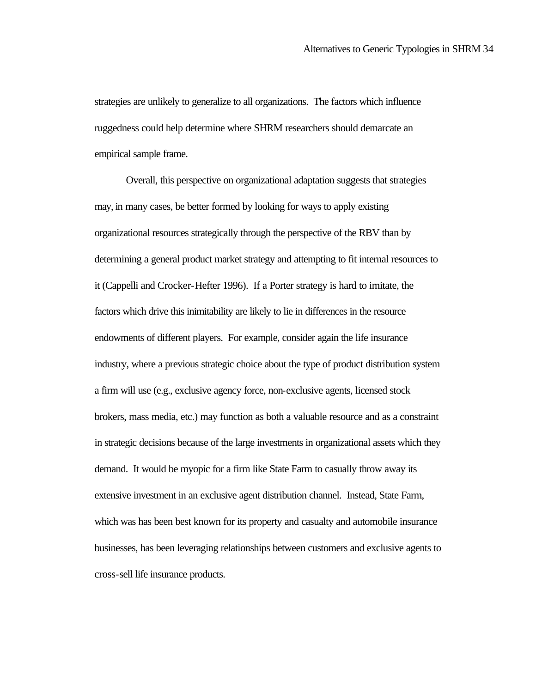strategies are unlikely to generalize to all organizations. The factors which influence ruggedness could help determine where SHRM researchers should demarcate an empirical sample frame.

Overall, this perspective on organizational adaptation suggests that strategies may, in many cases, be better formed by looking for ways to apply existing organizational resources strategically through the perspective of the RBV than by determining a general product market strategy and attempting to fit internal resources to it (Cappelli and Crocker-Hefter 1996). If a Porter strategy is hard to imitate, the factors which drive this inimitability are likely to lie in differences in the resource endowments of different players. For example, consider again the life insurance industry, where a previous strategic choice about the type of product distribution system a firm will use (e.g., exclusive agency force, non-exclusive agents, licensed stock brokers, mass media, etc.) may function as both a valuable resource and as a constraint in strategic decisions because of the large investments in organizational assets which they demand. It would be myopic for a firm like State Farm to casually throw away its extensive investment in an exclusive agent distribution channel. Instead, State Farm, which was has been best known for its property and casualty and automobile insurance businesses, has been leveraging relationships between customers and exclusive agents to cross-sell life insurance products.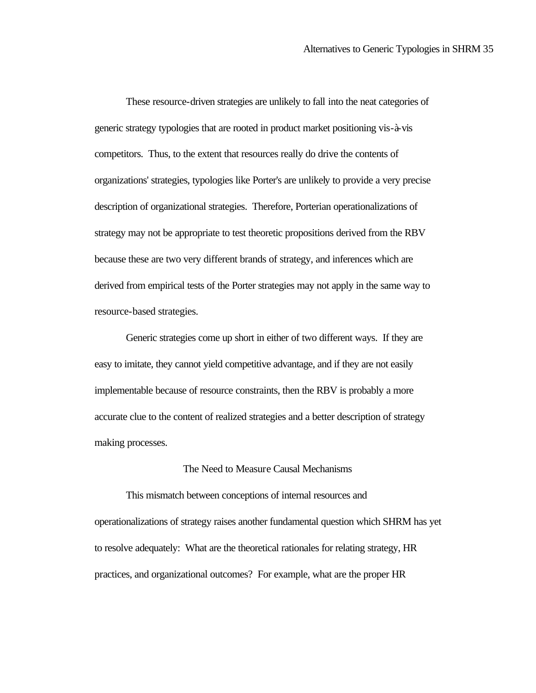These resource-driven strategies are unlikely to fall into the neat categories of generic strategy typologies that are rooted in product market positioning vis-à-vis competitors. Thus, to the extent that resources really do drive the contents of organizations' strategies, typologies like Porter's are unlikely to provide a very precise description of organizational strategies. Therefore, Porterian operationalizations of strategy may not be appropriate to test theoretic propositions derived from the RBV because these are two very different brands of strategy, and inferences which are derived from empirical tests of the Porter strategies may not apply in the same way to resource-based strategies.

Generic strategies come up short in either of two different ways. If they are easy to imitate, they cannot yield competitive advantage, and if they are not easily implementable because of resource constraints, then the RBV is probably a more accurate clue to the content of realized strategies and a better description of strategy making processes.

#### The Need to Measure Causal Mechanisms

This mismatch between conceptions of internal resources and operationalizations of strategy raises another fundamental question which SHRM has yet to resolve adequately: What are the theoretical rationales for relating strategy, HR practices, and organizational outcomes? For example, what are the proper HR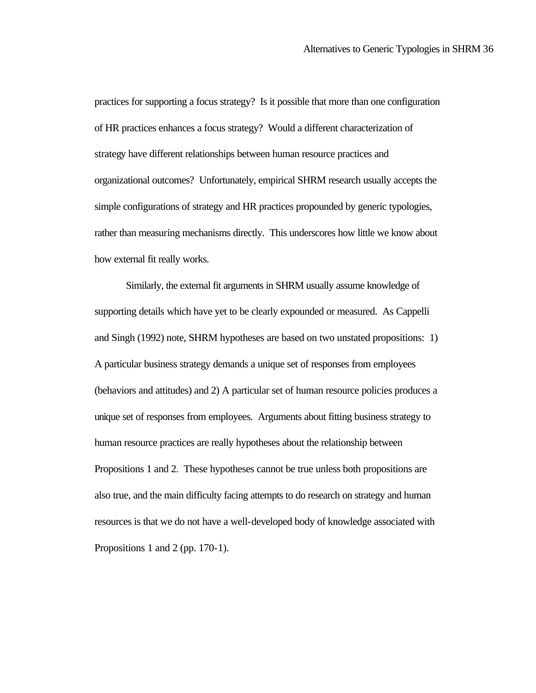practices for supporting a focus strategy? Is it possible that more than one configuration of HR practices enhances a focus strategy? Would a different characterization of strategy have different relationships between human resource practices and organizational outcomes? Unfortunately, empirical SHRM research usually accepts the simple configurations of strategy and HR practices propounded by generic typologies, rather than measuring mechanisms directly. This underscores how little we know about how external fit really works.

Similarly, the external fit arguments in SHRM usually assume knowledge of supporting details which have yet to be clearly expounded or measured. As Cappelli and Singh (1992) note, SHRM hypotheses are based on two unstated propositions: 1) A particular business strategy demands a unique set of responses from employees (behaviors and attitudes) and 2) A particular set of human resource policies produces a unique set of responses from employees. Arguments about fitting business strategy to human resource practices are really hypotheses about the relationship between Propositions 1 and 2. These hypotheses cannot be true unless both propositions are also true, and the main difficulty facing attempts to do research on strategy and human resources is that we do not have a well-developed body of knowledge associated with Propositions 1 and 2 (pp. 170-1).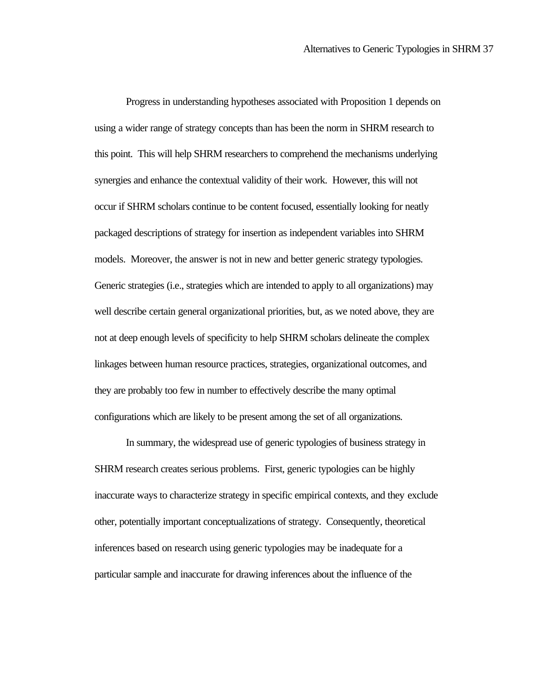Progress in understanding hypotheses associated with Proposition 1 depends on using a wider range of strategy concepts than has been the norm in SHRM research to this point. This will help SHRM researchers to comprehend the mechanisms underlying synergies and enhance the contextual validity of their work. However, this will not occur if SHRM scholars continue to be content focused, essentially looking for neatly packaged descriptions of strategy for insertion as independent variables into SHRM models. Moreover, the answer is not in new and better generic strategy typologies. Generic strategies (i.e., strategies which are intended to apply to all organizations) may well describe certain general organizational priorities, but, as we noted above, they are not at deep enough levels of specificity to help SHRM scholars delineate the complex linkages between human resource practices, strategies, organizational outcomes, and they are probably too few in number to effectively describe the many optimal configurations which are likely to be present among the set of all organizations.

In summary, the widespread use of generic typologies of business strategy in SHRM research creates serious problems. First, generic typologies can be highly inaccurate ways to characterize strategy in specific empirical contexts, and they exclude other, potentially important conceptualizations of strategy. Consequently, theoretical inferences based on research using generic typologies may be inadequate for a particular sample and inaccurate for drawing inferences about the influence of the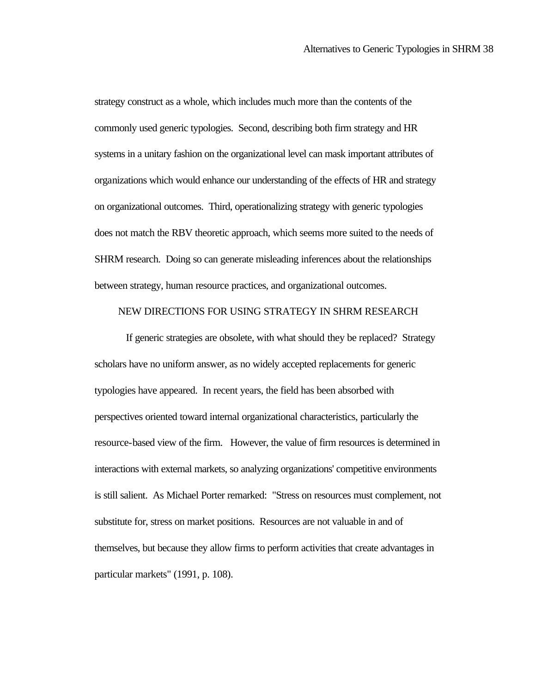strategy construct as a whole, which includes much more than the contents of the commonly used generic typologies. Second, describing both firm strategy and HR systems in a unitary fashion on the organizational level can mask important attributes of organizations which would enhance our understanding of the effects of HR and strategy on organizational outcomes. Third, operationalizing strategy with generic typologies does not match the RBV theoretic approach, which seems more suited to the needs of SHRM research. Doing so can generate misleading inferences about the relationships between strategy, human resource practices, and organizational outcomes.

#### NEW DIRECTIONS FOR USING STRATEGY IN SHRM RESEARCH

If generic strategies are obsolete, with what should they be replaced? Strategy scholars have no uniform answer, as no widely accepted replacements for generic typologies have appeared. In recent years, the field has been absorbed with perspectives oriented toward internal organizational characteristics, particularly the resource-based view of the firm. However, the value of firm resources is determined in interactions with external markets, so analyzing organizations' competitive environments is still salient. As Michael Porter remarked: "Stress on resources must complement, not substitute for, stress on market positions. Resources are not valuable in and of themselves, but because they allow firms to perform activities that create advantages in particular markets" (1991, p. 108).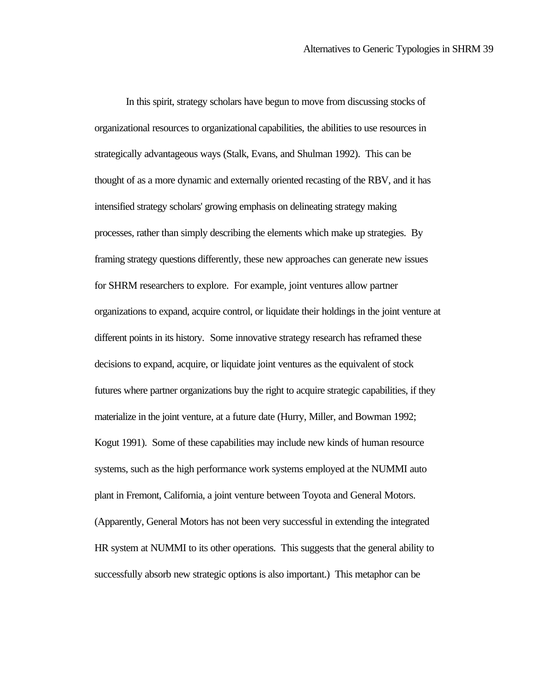In this spirit, strategy scholars have begun to move from discussing stocks of organizational resources to organizational capabilities*,* the abilities to use resources in strategically advantageous ways (Stalk, Evans, and Shulman 1992). This can be thought of as a more dynamic and externally oriented recasting of the RBV, and it has intensified strategy scholars' growing emphasis on delineating strategy making processes, rather than simply describing the elements which make up strategies. By framing strategy questions differently, these new approaches can generate new issues for SHRM researchers to explore. For example, joint ventures allow partner organizations to expand, acquire control, or liquidate their holdings in the joint venture at different points in its history. Some innovative strategy research has reframed these decisions to expand, acquire, or liquidate joint ventures as the equivalent of stock futures where partner organizations buy the right to acquire strategic capabilities, if they materialize in the joint venture, at a future date (Hurry, Miller, and Bowman 1992; Kogut 1991). Some of these capabilities may include new kinds of human resource systems, such as the high performance work systems employed at the NUMMI auto plant in Fremont, California, a joint venture between Toyota and General Motors. (Apparently, General Motors has not been very successful in extending the integrated HR system at NUMMI to its other operations. This suggests that the general ability to successfully absorb new strategic options is also important.) This metaphor can be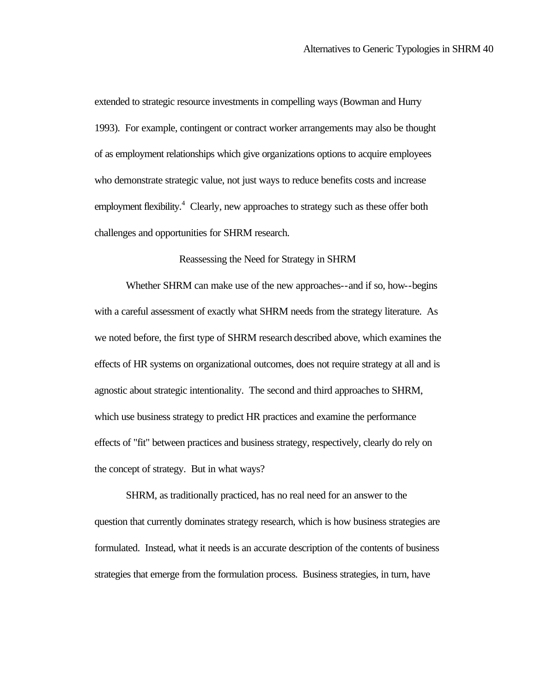extended to strategic resource investments in compelling ways (Bowman and Hurry 1993). For example, contingent or contract worker arrangements may also be thought of as employment relationships which give organizations options to acquire employees who demonstrate strategic value, not just ways to reduce benefits costs and increase employment flexibility.<sup>4</sup> Clearly, new approaches to strategy such as these offer both challenges and opportunities for SHRM research.

#### Reassessing the Need for Strategy in SHRM

Whether SHRM can make use of the new approaches--and if so, how--begins with a careful assessment of exactly what SHRM needs from the strategy literature. As we noted before, the first type of SHRM research described above, which examines the effects of HR systems on organizational outcomes, does not require strategy at all and is agnostic about strategic intentionality. The second and third approaches to SHRM, which use business strategy to predict HR practices and examine the performance effects of "fit" between practices and business strategy, respectively, clearly do rely on the concept of strategy. But in what ways?

SHRM, as traditionally practiced, has no real need for an answer to the question that currently dominates strategy research, which is how business strategies are formulated. Instead, what it needs is an accurate description of the contents of business strategies that emerge from the formulation process. Business strategies, in turn, have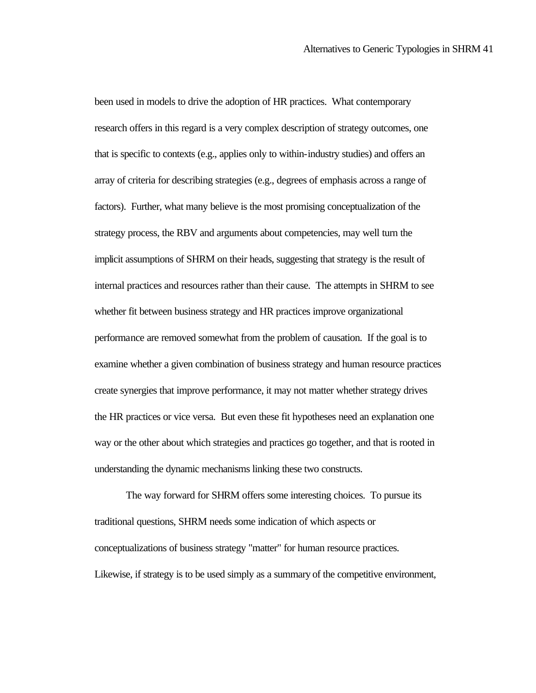been used in models to drive the adoption of HR practices. What contemporary research offers in this regard is a very complex description of strategy outcomes, one that is specific to contexts (e.g., applies only to within-industry studies) and offers an array of criteria for describing strategies (e.g., degrees of emphasis across a range of factors). Further, what many believe is the most promising conceptualization of the strategy process, the RBV and arguments about competencies, may well turn the implicit assumptions of SHRM on their heads, suggesting that strategy is the result of internal practices and resources rather than their cause. The attempts in SHRM to see whether fit between business strategy and HR practices improve organizational performance are removed somewhat from the problem of causation. If the goal is to examine whether a given combination of business strategy and human resource practices create synergies that improve performance, it may not matter whether strategy drives the HR practices or vice versa. But even these fit hypotheses need an explanation one way or the other about which strategies and practices go together, and that is rooted in understanding the dynamic mechanisms linking these two constructs.

The way forward for SHRM offers some interesting choices. To pursue its traditional questions, SHRM needs some indication of which aspects or conceptualizations of business strategy "matter" for human resource practices. Likewise, if strategy is to be used simply as a summary of the competitive environment,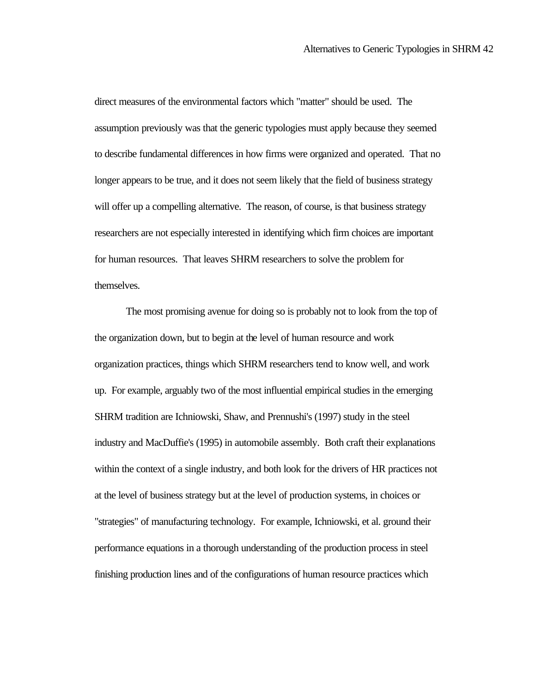direct measures of the environmental factors which "matter" should be used. The assumption previously was that the generic typologies must apply because they seemed to describe fundamental differences in how firms were organized and operated. That no longer appears to be true, and it does not seem likely that the field of business strategy will offer up a compelling alternative. The reason, of course, is that business strategy researchers are not especially interested in identifying which firm choices are important for human resources. That leaves SHRM researchers to solve the problem for themselves.

The most promising avenue for doing so is probably not to look from the top of the organization down, but to begin at the level of human resource and work organization practices, things which SHRM researchers tend to know well, and work up. For example, arguably two of the most influential empirical studies in the emerging SHRM tradition are Ichniowski, Shaw, and Prennushi's (1997) study in the steel industry and MacDuffie's (1995) in automobile assembly. Both craft their explanations within the context of a single industry, and both look for the drivers of HR practices not at the level of business strategy but at the level of production systems, in choices or "strategies" of manufacturing technology. For example, Ichniowski, et al. ground their performance equations in a thorough understanding of the production process in steel finishing production lines and of the configurations of human resource practices which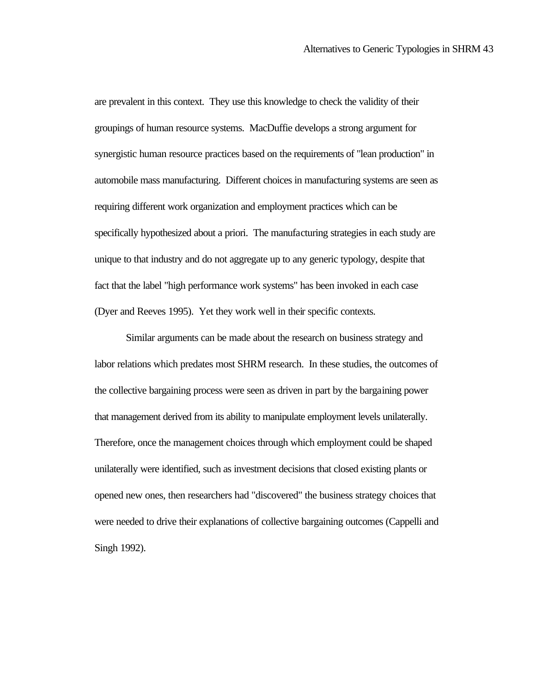are prevalent in this context. They use this knowledge to check the validity of their groupings of human resource systems. MacDuffie develops a strong argument for synergistic human resource practices based on the requirements of "lean production" in automobile mass manufacturing. Different choices in manufacturing systems are seen as requiring different work organization and employment practices which can be specifically hypothesized about a priori. The manufacturing strategies in each study are unique to that industry and do not aggregate up to any generic typology, despite that fact that the label "high performance work systems" has been invoked in each case (Dyer and Reeves 1995). Yet they work well in their specific contexts.

Similar arguments can be made about the research on business strategy and labor relations which predates most SHRM research. In these studies, the outcomes of the collective bargaining process were seen as driven in part by the bargaining power that management derived from its ability to manipulate employment levels unilaterally. Therefore, once the management choices through which employment could be shaped unilaterally were identified, such as investment decisions that closed existing plants or opened new ones, then researchers had "discovered" the business strategy choices that were needed to drive their explanations of collective bargaining outcomes (Cappelli and Singh 1992).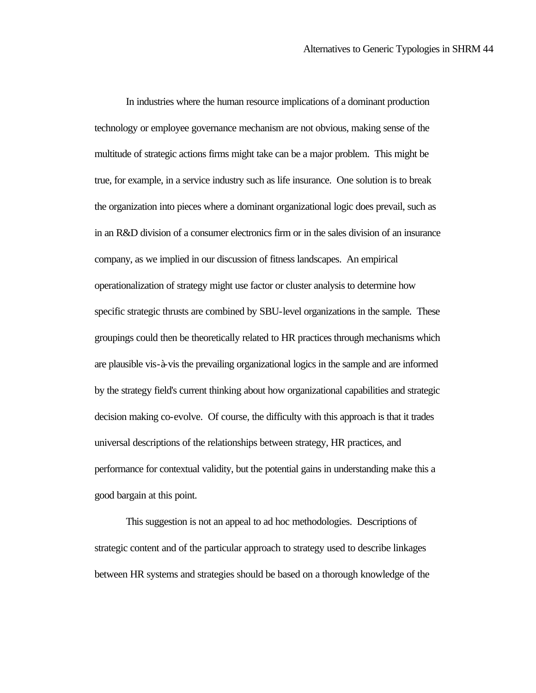In industries where the human resource implications of a dominant production technology or employee governance mechanism are not obvious, making sense of the multitude of strategic actions firms might take can be a major problem. This might be true, for example, in a service industry such as life insurance. One solution is to break the organization into pieces where a dominant organizational logic does prevail, such as in an R&D division of a consumer electronics firm or in the sales division of an insurance company, as we implied in our discussion of fitness landscapes. An empirical operationalization of strategy might use factor or cluster analysis to determine how specific strategic thrusts are combined by SBU-level organizations in the sample. These groupings could then be theoretically related to HR practices through mechanisms which are plausible vis-à-vis the prevailing organizational logics in the sample and are informed by the strategy field's current thinking about how organizational capabilities and strategic decision making co-evolve. Of course, the difficulty with this approach is that it trades universal descriptions of the relationships between strategy, HR practices, and performance for contextual validity, but the potential gains in understanding make this a good bargain at this point.

This suggestion is not an appeal to ad hoc methodologies. Descriptions of strategic content and of the particular approach to strategy used to describe linkages between HR systems and strategies should be based on a thorough knowledge of the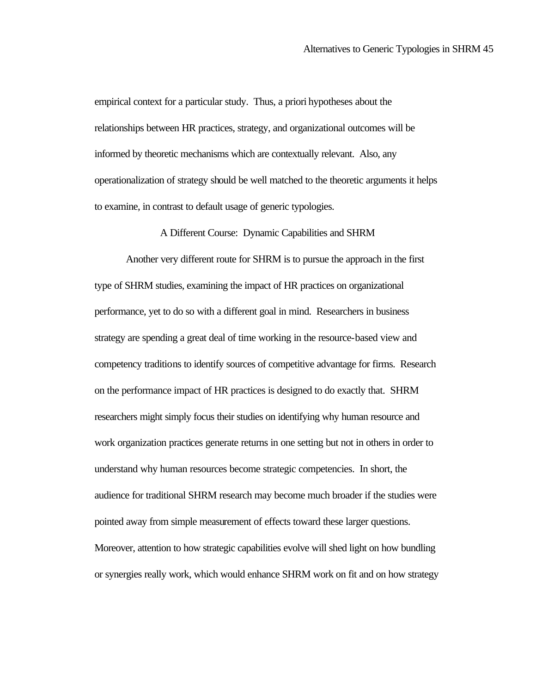empirical context for a particular study. Thus, a priori hypotheses about the relationships between HR practices, strategy, and organizational outcomes will be informed by theoretic mechanisms which are contextually relevant. Also, any operationalization of strategy should be well matched to the theoretic arguments it helps to examine, in contrast to default usage of generic typologies.

#### A Different Course: Dynamic Capabilities and SHRM

Another very different route for SHRM is to pursue the approach in the first type of SHRM studies, examining the impact of HR practices on organizational performance, yet to do so with a different goal in mind. Researchers in business strategy are spending a great deal of time working in the resource-based view and competency traditions to identify sources of competitive advantage for firms. Research on the performance impact of HR practices is designed to do exactly that. SHRM researchers might simply focus their studies on identifying why human resource and work organization practices generate returns in one setting but not in others in order to understand why human resources become strategic competencies. In short, the audience for traditional SHRM research may become much broader if the studies were pointed away from simple measurement of effects toward these larger questions. Moreover, attention to how strategic capabilities evolve will shed light on how bundling or synergies really work, which would enhance SHRM work on fit and on how strategy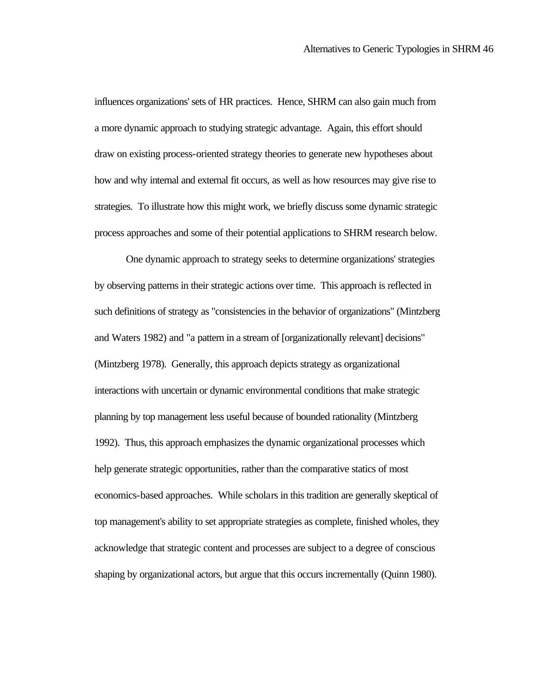influences organizations' sets of HR practices. Hence, SHRM can also gain much from a more dynamic approach to studying strategic advantage. Again, this effort should draw on existing process-oriented strategy theories to generate new hypotheses about how and why internal and external fit occurs, as well as how resources may give rise to strategies. To illustrate how this might work, we briefly discuss some dynamic strategic process approaches and some of their potential applications to SHRM research below.

One dynamic approach to strategy seeks to determine organizations' strategies by observing patterns in their strategic actions over time. This approach is reflected in such definitions of strategy as "consistencies in the behavior of organizations" (Mintzberg and Waters 1982) and "a pattern in a stream of [organizationally relevant] decisions" (Mintzberg 1978). Generally, this approach depicts strategy as organizational interactions with uncertain or dynamic environmental conditions that make strategic planning by top management less useful because of bounded rationality (Mintzberg 1992). Thus, this approach emphasizes the dynamic organizational processes which help generate strategic opportunities, rather than the comparative statics of most economics-based approaches. While scholars in this tradition are generally skeptical of top management's ability to set appropriate strategies as complete, finished wholes, they acknowledge that strategic content and processes are subject to a degree of conscious shaping by organizational actors, but argue that this occurs incrementally (Quinn 1980).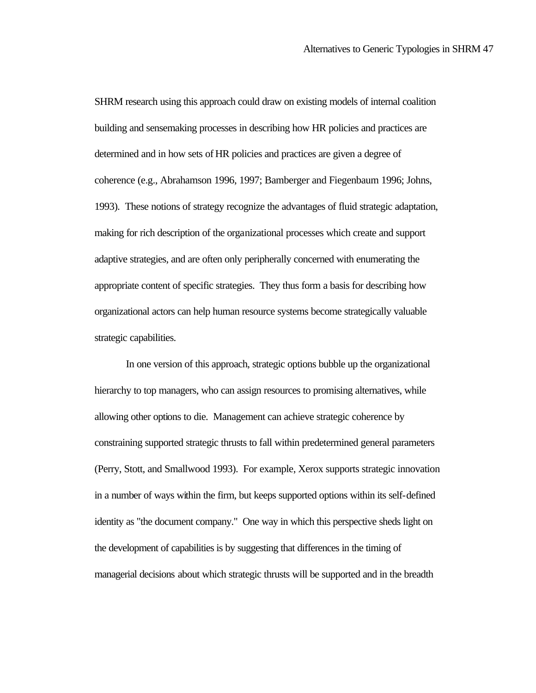SHRM research using this approach could draw on existing models of internal coalition building and sensemaking processes in describing how HR policies and practices are determined and in how sets of HR policies and practices are given a degree of coherence (e.g., Abrahamson 1996, 1997; Bamberger and Fiegenbaum 1996; Johns, 1993). These notions of strategy recognize the advantages of fluid strategic adaptation, making for rich description of the organizational processes which create and support adaptive strategies, and are often only peripherally concerned with enumerating the appropriate content of specific strategies. They thus form a basis for describing how organizational actors can help human resource systems become strategically valuable strategic capabilities.

In one version of this approach, strategic options bubble up the organizational hierarchy to top managers, who can assign resources to promising alternatives, while allowing other options to die. Management can achieve strategic coherence by constraining supported strategic thrusts to fall within predetermined general parameters (Perry, Stott, and Smallwood 1993). For example, Xerox supports strategic innovation in a number of ways within the firm, but keeps supported options within its self-defined identity as "the document company." One way in which this perspective sheds light on the development of capabilities is by suggesting that differences in the timing of managerial decisions about which strategic thrusts will be supported and in the breadth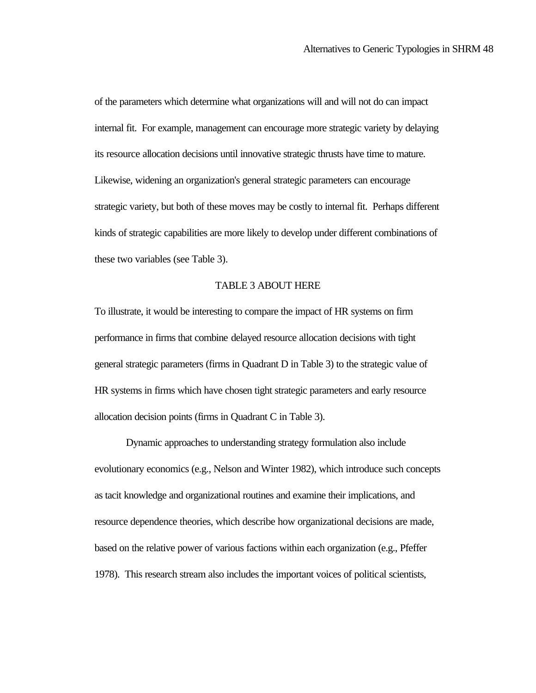of the parameters which determine what organizations will and will not do can impact internal fit. For example, management can encourage more strategic variety by delaying its resource allocation decisions until innovative strategic thrusts have time to mature. Likewise, widening an organization's general strategic parameters can encourage strategic variety, but both of these moves may be costly to internal fit. Perhaps different kinds of strategic capabilities are more likely to develop under different combinations of these two variables (see Table 3).

#### TABLE 3 ABOUT HERE

To illustrate, it would be interesting to compare the impact of HR systems on firm performance in firms that combine delayed resource allocation decisions with tight general strategic parameters (firms in Quadrant D in Table 3) to the strategic value of HR systems in firms which have chosen tight strategic parameters and early resource allocation decision points (firms in Quadrant C in Table 3).

Dynamic approaches to understanding strategy formulation also include evolutionary economics (e.g., Nelson and Winter 1982), which introduce such concepts as tacit knowledge and organizational routines and examine their implications, and resource dependence theories, which describe how organizational decisions are made, based on the relative power of various factions within each organization (e.g., Pfeffer 1978). This research stream also includes the important voices of political scientists,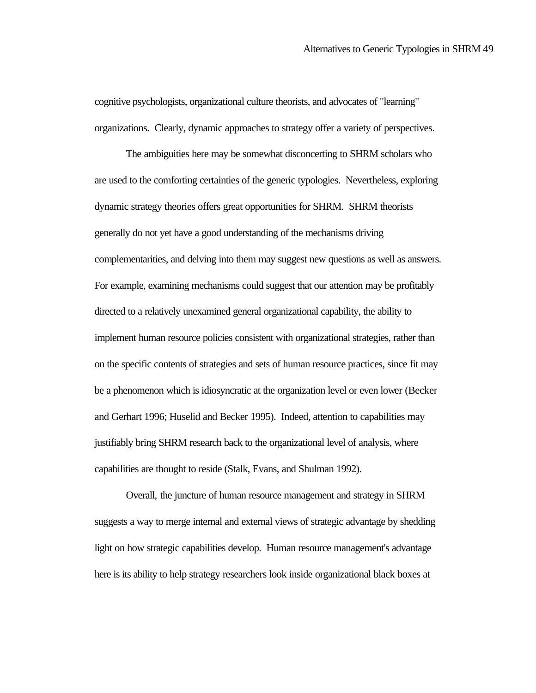cognitive psychologists, organizational culture theorists, and advocates of "learning" organizations. Clearly, dynamic approaches to strategy offer a variety of perspectives.

The ambiguities here may be somewhat disconcerting to SHRM scholars who are used to the comforting certainties of the generic typologies. Nevertheless, exploring dynamic strategy theories offers great opportunities for SHRM. SHRM theorists generally do not yet have a good understanding of the mechanisms driving complementarities, and delving into them may suggest new questions as well as answers. For example, examining mechanisms could suggest that our attention may be profitably directed to a relatively unexamined general organizational capability, the ability to implement human resource policies consistent with organizational strategies, rather than on the specific contents of strategies and sets of human resource practices, since fit may be a phenomenon which is idiosyncratic at the organization level or even lower (Becker and Gerhart 1996; Huselid and Becker 1995). Indeed, attention to capabilities may justifiably bring SHRM research back to the organizational level of analysis, where capabilities are thought to reside (Stalk, Evans, and Shulman 1992).

Overall, the juncture of human resource management and strategy in SHRM suggests a way to merge internal and external views of strategic advantage by shedding light on how strategic capabilities develop. Human resource management's advantage here is its ability to help strategy researchers look inside organizational black boxes at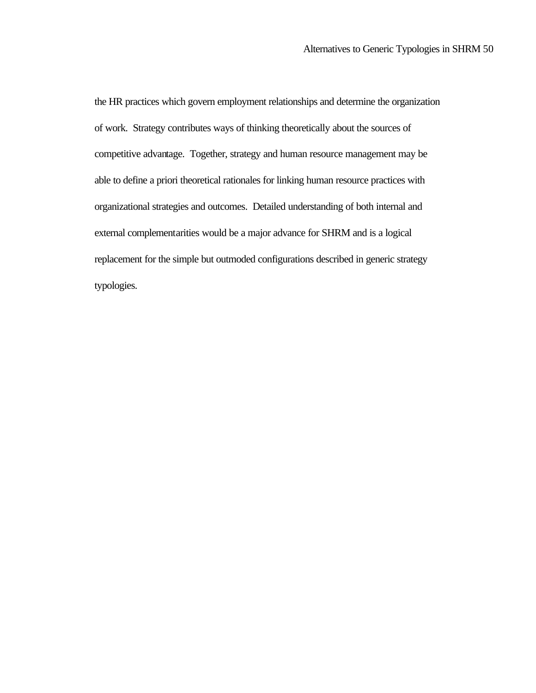the HR practices which govern employment relationships and determine the organization of work. Strategy contributes ways of thinking theoretically about the sources of competitive advantage. Together, strategy and human resource management may be able to define a priori theoretical rationales for linking human resource practices with organizational strategies and outcomes. Detailed understanding of both internal and external complementarities would be a major advance for SHRM and is a logical replacement for the simple but outmoded configurations described in generic strategy typologies.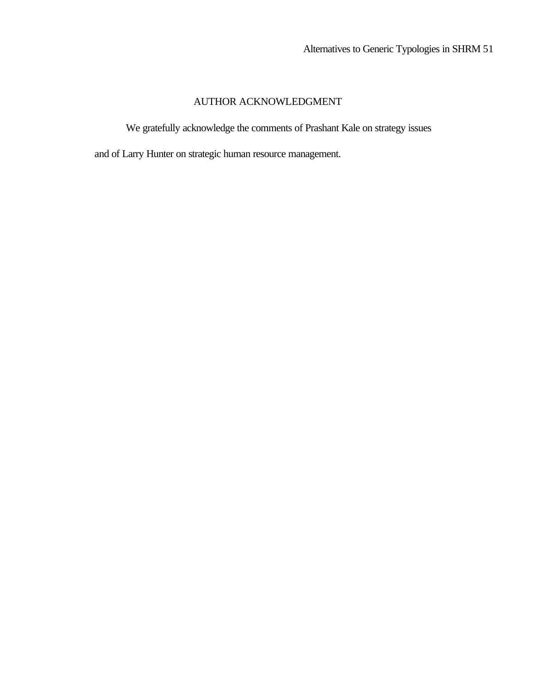## AUTHOR ACKNOWLEDGMENT

We gratefully acknowledge the comments of Prashant Kale on strategy issues

and of Larry Hunter on strategic human resource management.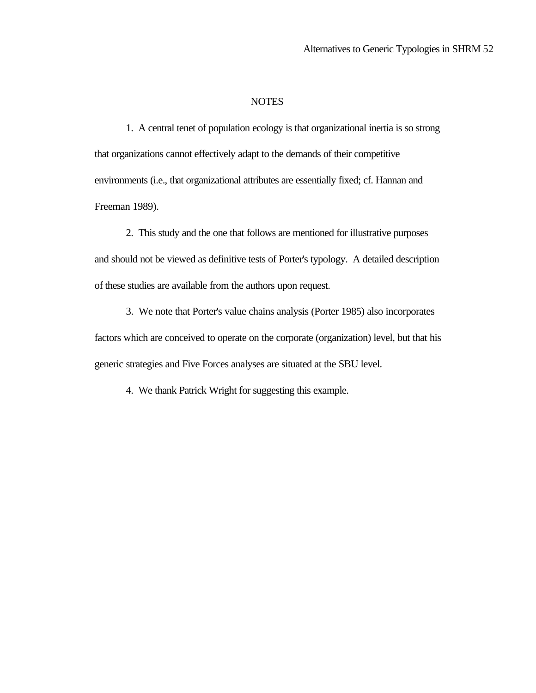#### **NOTES**

1. A central tenet of population ecology is that organizational inertia is so strong that organizations cannot effectively adapt to the demands of their competitive environments (i.e., that organizational attributes are essentially fixed; cf. Hannan and Freeman 1989).

2. This study and the one that follows are mentioned for illustrative purposes and should not be viewed as definitive tests of Porter's typology. A detailed description of these studies are available from the authors upon request.

3. We note that Porter's value chains analysis (Porter 1985) also incorporates factors which are conceived to operate on the corporate (organization) level, but that his generic strategies and Five Forces analyses are situated at the SBU level.

4. We thank Patrick Wright for suggesting this example.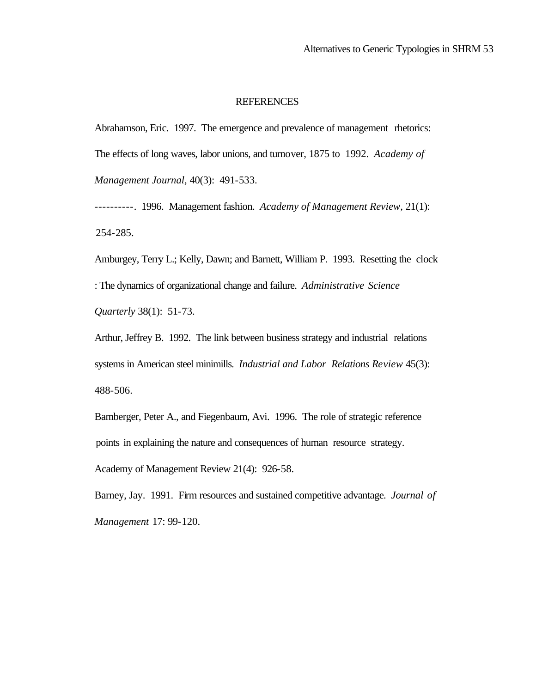#### REFERENCES

Abrahamson, Eric. 1997. The emergence and prevalence of management rhetorics: The effects of long waves, labor unions, and turnover, 1875 to 1992. *Academy of Management Journal,* 40(3): 491-533.

----------. 1996. Management fashion. *Academy of Management Review,* 21(1): 254-285.

Amburgey, Terry L.; Kelly, Dawn; and Barnett, William P. 1993. Resetting the clock : The dynamics of organizational change and failure. *Administrative Science Quarterly* 38(1): 51-73.

Arthur, Jeffrey B. 1992. The link between business strategy and industrial relations systems in American steel minimills. *Industrial and Labor Relations Review* 45(3): 488-506.

Bamberger, Peter A., and Fiegenbaum, Avi. 1996. The role of strategic reference points in explaining the nature and consequences of human resource strategy.

Academy of Management Review 21(4): 926-58.

Barney, Jay. 1991. Firm resources and sustained competitive advantage. *Journal of Management* 17: 99-120.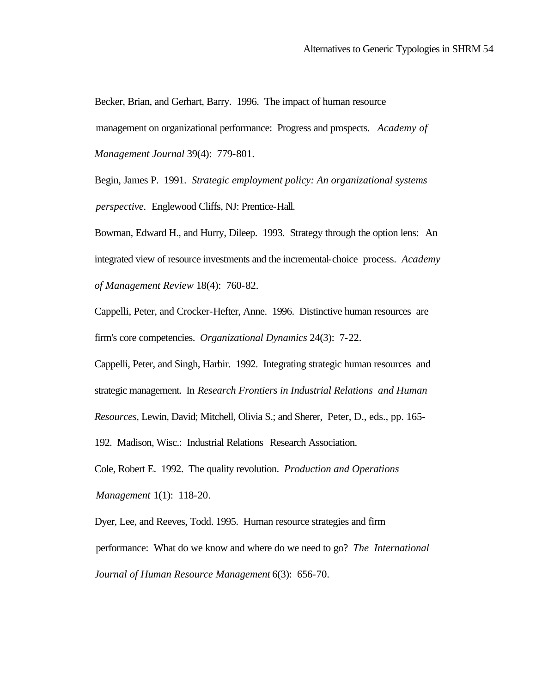Becker, Brian, and Gerhart, Barry. 1996. The impact of human resource management on organizational performance: Progress and prospects. *Academy of Management Journal* 39(4): 779-801.

Begin, James P. 1991. *Strategic employment policy: An organizational systems perspective.* Englewood Cliffs, NJ: Prentice-Hall.

Bowman, Edward H., and Hurry, Dileep. 1993. Strategy through the option lens: An integrated view of resource investments and the incremental-choice process. *Academy of Management Review* 18(4): 760-82.

Cappelli, Peter, and Crocker-Hefter, Anne. 1996. Distinctive human resources are firm's core competencies. *Organizational Dynamics* 24(3): 7-22.

Cappelli, Peter, and Singh, Harbir. 1992. Integrating strategic human resources and strategic management. In *Research Frontiers in Industrial Relations and Human Resources*, Lewin, David; Mitchell, Olivia S.; and Sherer, Peter, D., eds., pp. 165-

192. Madison, Wisc.: Industrial Relations Research Association.

Cole, Robert E. 1992. The quality revolution. *Production and Operations* 

*Management* 1(1): 118-20.

Dyer, Lee, and Reeves, Todd. 1995. Human resource strategies and firm performance: What do we know and where do we need to go? *The International Journal of Human Resource Management* 6(3): 656-70.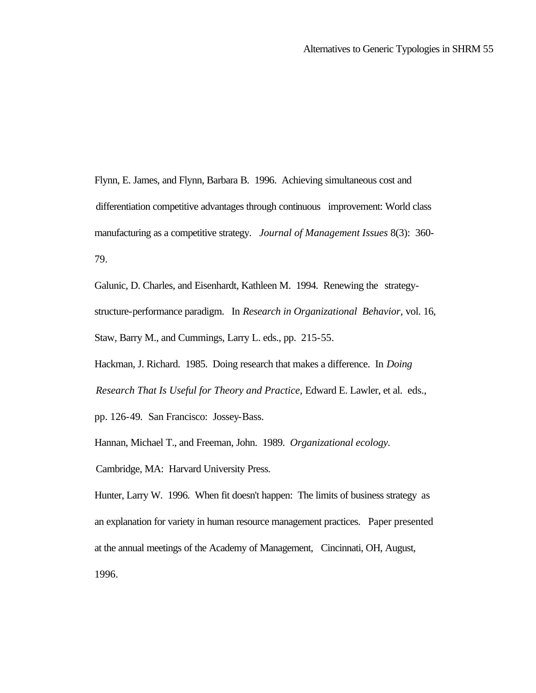Flynn, E. James, and Flynn, Barbara B. 1996. Achieving simultaneous cost and differentiation competitive advantages through continuous improvement: World class manufacturing as a competitive strategy. *Journal of Management Issues* 8(3): 360- 79.

Galunic, D. Charles, and Eisenhardt, Kathleen M. 1994. Renewing the strategystructure-performance paradigm. In *Research in Organizational Behavior,* vol. 16, Staw, Barry M., and Cummings, Larry L. eds., pp. 215-55.

Hackman, J. Richard. 1985. Doing research that makes a difference. In *Doing Research That Is Useful for Theory and Practice,* Edward E. Lawler, et al. eds.,

pp. 126-49*.* San Francisco: Jossey-Bass.

Hannan, Michael T., and Freeman, John. 1989. *Organizational ecology.*

Cambridge, MA: Harvard University Press.

Hunter, Larry W. 1996. When fit doesn't happen: The limits of business strategy as an explanation for variety in human resource management practices. Paper presented at the annual meetings of the Academy of Management, Cincinnati, OH, August, 1996.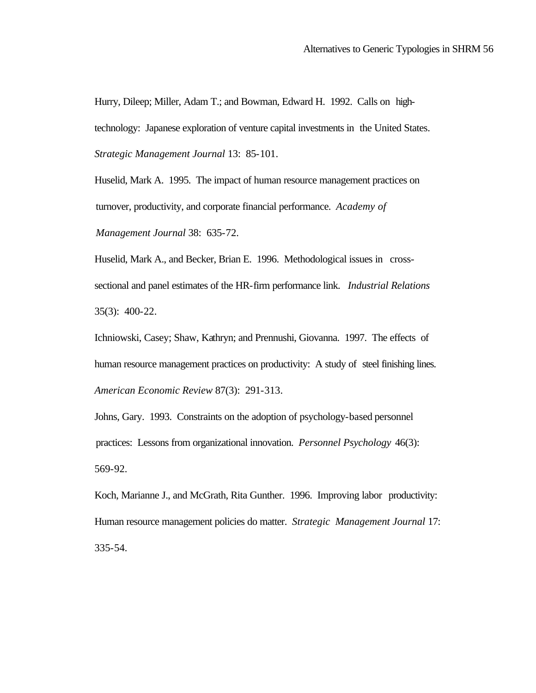Hurry, Dileep; Miller, Adam T.; and Bowman, Edward H. 1992. Calls on hightechnology: Japanese exploration of venture capital investments in the United States. *Strategic Management Journal* 13: 85-101.

Huselid, Mark A. 1995. The impact of human resource management practices on turnover, productivity, and corporate financial performance. *Academy of Management Journal* 38: 635-72.

Huselid, Mark A., and Becker, Brian E. 1996. Methodological issues in crosssectional and panel estimates of the HR-firm performance link. *Industrial Relations* 35(3): 400-22.

Ichniowski, Casey; Shaw, Kathryn; and Prennushi, Giovanna. 1997. The effects of human resource management practices on productivity: A study of steel finishing lines. *American Economic Review* 87(3): 291-313.

Johns, Gary. 1993. Constraints on the adoption of psychology-based personnel practices: Lessons from organizational innovation. *Personnel Psychology* 46(3): 569-92.

Koch, Marianne J., and McGrath, Rita Gunther. 1996. Improving labor productivity: Human resource management policies do matter. *Strategic Management Journal* 17: 335-54.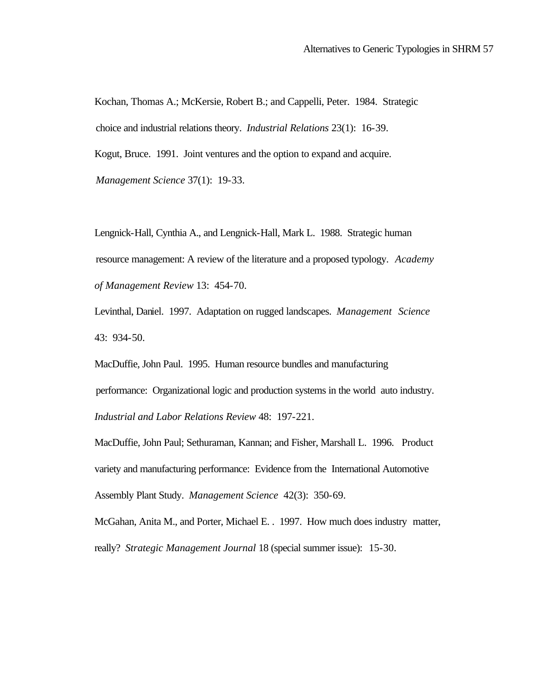Kochan, Thomas A.; McKersie, Robert B.; and Cappelli, Peter. 1984. Strategic choice and industrial relations theory. *Industrial Relations* 23(1): 16-39. Kogut, Bruce. 1991. Joint ventures and the option to expand and acquire. *Management Science* 37(1): 19-33.

Lengnick-Hall, Cynthia A., and Lengnick-Hall, Mark L. 1988. Strategic human resource management: A review of the literature and a proposed typology. *Academy of Management Review* 13: 454-70.

Levinthal, Daniel. 1997. Adaptation on rugged landscapes. *Management Science* 43: 934-50.

MacDuffie, John Paul. 1995. Human resource bundles and manufacturing performance: Organizational logic and production systems in the world auto industry. *Industrial and Labor Relations Review* 48: 197-221.

MacDuffie, John Paul; Sethuraman, Kannan; and Fisher, Marshall L. 1996. Product variety and manufacturing performance: Evidence from the International Automotive Assembly Plant Study. *Management Science* 42(3): 350-69.

McGahan, Anita M., and Porter, Michael E. . 1997. How much does industry matter, really? *Strategic Management Journal* 18 (special summer issue): 15-30.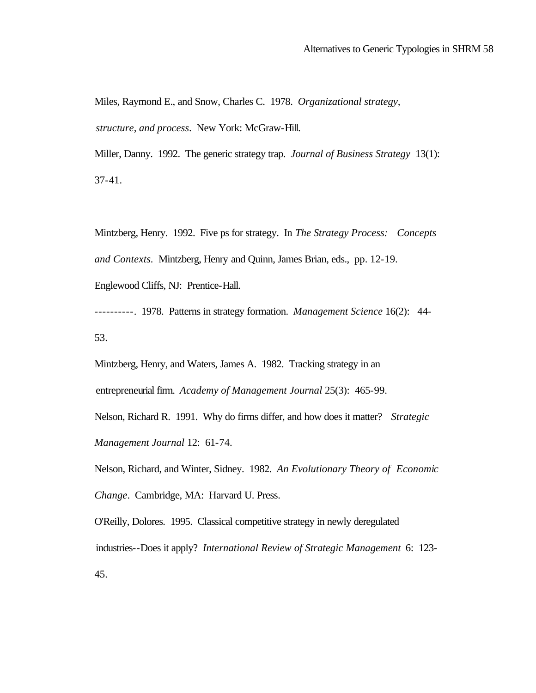Miles, Raymond E., and Snow, Charles C. 1978. *Organizational strategy, structure, and process*. New York: McGraw-Hill.

Miller, Danny. 1992. The generic strategy trap. *Journal of Business Strategy* 13(1): 37-41.

Mintzberg, Henry. 1992. Five ps for strategy. In *The Strategy Process: Concepts and Contexts.* Mintzberg, Henry and Quinn, James Brian, eds., pp. 12-19.

Englewood Cliffs, NJ: Prentice-Hall.

----------. 1978. Patterns in strategy formation. *Management Science* 16(2): 44- 53.

Mintzberg, Henry, and Waters, James A. 1982. Tracking strategy in an entrepreneurial firm. *Academy of Management Journal* 25(3): 465-99.

Nelson, Richard R. 1991. Why do firms differ, and how does it matter? *Strategic Management Journal* 12: 61-74.

Nelson, Richard, and Winter, Sidney. 1982. *An Evolutionary Theory of Economic Change*. Cambridge, MA: Harvard U. Press.

O'Reilly, Dolores. 1995. Classical competitive strategy in newly deregulated industries--Does it apply? *International Review of Strategic Management* 6: 123- 45.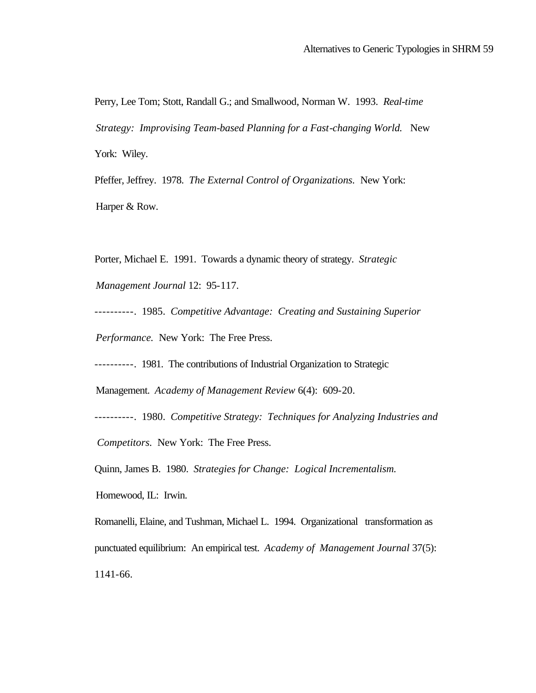Perry, Lee Tom; Stott, Randall G.; and Smallwood, Norman W. 1993. *Real-time Strategy: Improvising Team-based Planning for a Fast-changing World.* New York: Wiley.

Pfeffer, Jeffrey. 1978. *The External Control of Organizations.* New York: Harper & Row.

Porter, Michael E. 1991. Towards a dynamic theory of strategy. *Strategic* 

*Management Journal* 12: 95-117.

----------. 1985. *Competitive Advantage: Creating and Sustaining Superior Performance.* New York: The Free Press.

----------. 1981. The contributions of Industrial Organization to Strategic

Management. *Academy of Management Review* 6(4): 609-20.

----------. 1980. *Competitive Strategy: Techniques for Analyzing Industries and* 

*Competitors.* New York: The Free Press.

Quinn, James B. 1980. *Strategies for Change: Logical Incrementalism.*

Homewood, IL: Irwin.

Romanelli, Elaine, and Tushman, Michael L. 1994. Organizational transformation as punctuated equilibrium: An empirical test. *Academy of Management Journal* 37(5): 1141-66.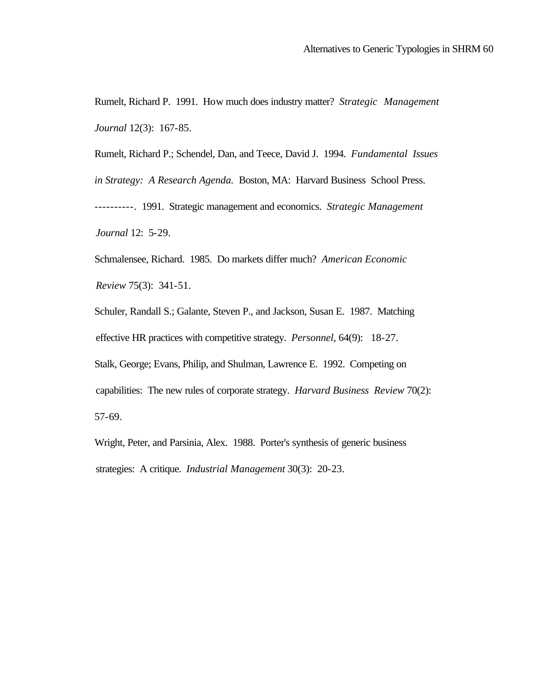Rumelt, Richard P. 1991. How much does industry matter? *Strategic Management Journal* 12(3): 167-85.

Rumelt, Richard P.; Schendel, Dan, and Teece, David J. 1994. *Fundamental Issues in Strategy: A Research Agenda.* Boston, MA: Harvard Business School Press. ----------. 1991. Strategic management and economics. *Strategic Management Journal* 12: 5-29.

Schmalensee, Richard. 1985. Do markets differ much? *American Economic Review* 75(3): 341-51.

Schuler, Randall S.; Galante, Steven P., and Jackson, Susan E. 1987. Matching effective HR practices with competitive strategy. *Personnel,* 64(9): 18-27. Stalk, George; Evans, Philip, and Shulman, Lawrence E. 1992. Competing on capabilities: The new rules of corporate strategy. *Harvard Business Review* 70(2): 57-69.

Wright, Peter, and Parsinia, Alex. 1988. Porter's synthesis of generic business strategies: A critique. *Industrial Management* 30(3): 20-23.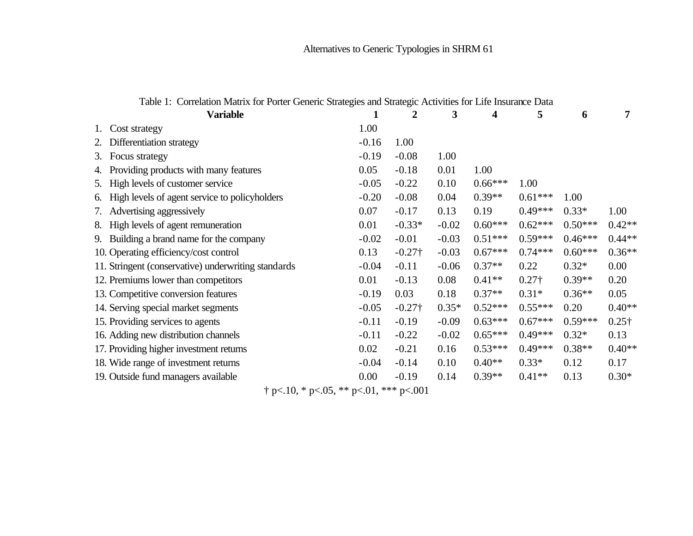# Alternatives to Generic Typologies in SHRM 61

|                                     | <b>Variable</b>                                     |         | 2              | 3       | 4         | 5             | 6         | 7             |
|-------------------------------------|-----------------------------------------------------|---------|----------------|---------|-----------|---------------|-----------|---------------|
|                                     | Cost strategy                                       | 1.00    |                |         |           |               |           |               |
|                                     | Differentiation strategy                            | $-0.16$ | 1.00           |         |           |               |           |               |
| 3.                                  | Focus strategy                                      | $-0.19$ | $-0.08$        | 1.00    |           |               |           |               |
| 4.                                  | Providing products with many features               | 0.05    | $-0.18$        | 0.01    | 1.00      |               |           |               |
|                                     | 5. High levels of customer service                  | $-0.05$ | $-0.22$        | 0.10    | $0.66***$ | 1.00          |           |               |
|                                     | 6. High levels of agent service to policyholders    | $-0.20$ | $-0.08$        | 0.04    | $0.39**$  | $0.61***$     | 1.00      |               |
|                                     | 7. Advertising aggressively                         | 0.07    | $-0.17$        | 0.13    | 0.19      | $0.49***$     | $0.33*$   | 1.00          |
| 8.                                  | High levels of agent remuneration                   | 0.01    | $-0.33*$       | $-0.02$ | $0.60***$ | $0.62***$     | $0.50***$ | $0.42**$      |
|                                     | 9. Building a brand name for the company            | $-0.02$ | $-0.01$        | $-0.03$ | $0.51***$ | $0.59***$     | $0.46***$ | $0.44**$      |
|                                     | 10. Operating efficiency/cost control               | 0.13    | $-0.27\dagger$ | $-0.03$ | $0.67***$ | $0.74***$     | $0.60***$ | $0.36**$      |
|                                     | 11. Stringent (conservative) underwriting standards | $-0.04$ | $-0.11$        | $-0.06$ | $0.37**$  | 0.22          | $0.32*$   | 0.00          |
|                                     | 12. Premiums lower than competitors                 | 0.01    | $-0.13$        | 0.08    | $0.41**$  | $0.27\dagger$ | $0.39**$  | 0.20          |
|                                     | 13. Competitive conversion features                 | $-0.19$ | 0.03           | 0.18    | $0.37**$  | $0.31*$       | $0.36**$  | 0.05          |
|                                     | 14. Serving special market segments                 | $-0.05$ | $-0.27\dagger$ | $0.35*$ | $0.52***$ | $0.55***$     | 0.20      | $0.40**$      |
|                                     | 15. Providing services to agents                    | $-0.11$ | $-0.19$        | $-0.09$ | $0.63***$ | $0.67***$     | $0.59***$ | $0.25\dagger$ |
|                                     | 16. Adding new distribution channels                | $-0.11$ | $-0.22$        | $-0.02$ | $0.65***$ | $0.49***$     | $0.32*$   | 0.13          |
|                                     | 17. Providing higher investment returns             | 0.02    | $-0.21$        | 0.16    | $0.53***$ | $0.49***$     | $0.38**$  | $0.40**$      |
|                                     | 18. Wide range of investment returns                | $-0.04$ | $-0.14$        | 0.10    | $0.40**$  | $0.33*$       | 0.12      | 0.17          |
| 19. Outside fund managers available |                                                     |         | $-0.19$        | 0.14    | $0.39**$  | $0.41**$      | 0.13      | $0.30*$       |

Table 1: Correlation Matrix for Porter Generic Strategies and Strategic Activities for Life Insurance Data

† p<.10, \* p<.05, \*\* p<.01, \*\*\* p<.001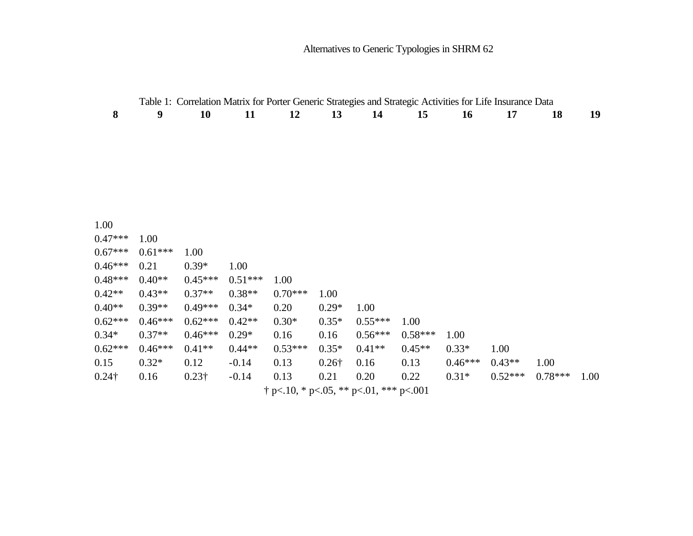|               |           | Table 1: Correlation Matrix for Porter Generic Strategies and Strategic Activities for Life Insurance Data |           |           |                               |                                     |           |           |           |           |      |
|---------------|-----------|------------------------------------------------------------------------------------------------------------|-----------|-----------|-------------------------------|-------------------------------------|-----------|-----------|-----------|-----------|------|
| 8             | 9         | <b>10</b>                                                                                                  | 11        | 12        | 13                            | 14                                  | 15        | <b>16</b> | 17        | 18        | 19   |
|               |           |                                                                                                            |           |           |                               |                                     |           |           |           |           |      |
|               |           |                                                                                                            |           |           |                               |                                     |           |           |           |           |      |
|               |           |                                                                                                            |           |           |                               |                                     |           |           |           |           |      |
|               |           |                                                                                                            |           |           |                               |                                     |           |           |           |           |      |
|               |           |                                                                                                            |           |           |                               |                                     |           |           |           |           |      |
|               |           |                                                                                                            |           |           |                               |                                     |           |           |           |           |      |
|               |           |                                                                                                            |           |           |                               |                                     |           |           |           |           |      |
| 1.00          |           |                                                                                                            |           |           |                               |                                     |           |           |           |           |      |
| $0.47***$     | 1.00      |                                                                                                            |           |           |                               |                                     |           |           |           |           |      |
| $0.67***$     | $0.61***$ | 1.00                                                                                                       |           |           |                               |                                     |           |           |           |           |      |
| $0.46***$     | 0.21      | $0.39*$                                                                                                    | 1.00      |           |                               |                                     |           |           |           |           |      |
| $0.48***$     | $0.40**$  | $0.45***$                                                                                                  | $0.51***$ | 1.00      |                               |                                     |           |           |           |           |      |
| $0.42**$      | $0.43**$  | $0.37**$                                                                                                   | $0.38**$  | $0.70***$ | 1.00                          |                                     |           |           |           |           |      |
| $0.40**$      | $0.39**$  | $0.49***$                                                                                                  | $0.34*$   | 0.20      | $0.29*$                       | 1.00                                |           |           |           |           |      |
| $0.62***$     | $0.46***$ | $0.62***$                                                                                                  | $0.42**$  | $0.30*$   | $0.35*$                       | $0.55***$                           | 1.00      |           |           |           |      |
| $0.34*$       | $0.37**$  | $0.46***$                                                                                                  | $0.29*$   | 0.16      | 0.16                          | $0.56***$                           | $0.58***$ | 1.00      |           |           |      |
| $0.62***$     | $0.46***$ | $0.41**$                                                                                                   | $0.44**$  | $0.53***$ | $0.35*$                       | $0.41**$                            | $0.45**$  | $0.33*$   | 1.00      |           |      |
| 0.15          | $0.32*$   | 0.12                                                                                                       | $-0.14$   | 0.13      | $0.26\dagger$                 | 0.16                                | 0.13      | $0.46***$ | $0.43**$  | 1.00      |      |
| $0.24\dagger$ | 0.16      | $0.23\dagger$                                                                                              | $-0.14$   | 0.13      | 0.21                          | 0.20                                | 0.22      | $0.31*$   | $0.52***$ | $0.78***$ | 1.00 |
|               |           |                                                                                                            |           |           | $\bigcap$ $\bigcap$ $\bigcap$ | $\bigcap_{i=1}^n A_i$ is a standard | 0.01      |           |           |           |      |

 $\dagger$  p<.10, \* p<.05, \*\* p<.01, \*\*\* p<.001

Alternatives to Generic Typologies in SHRM 62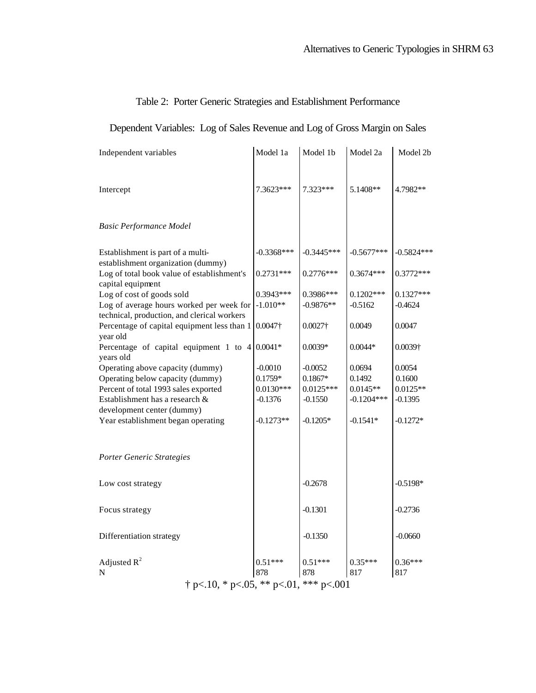## Table 2: Porter Generic Strategies and Establishment Performance

# Dependent Variables: Log of Sales Revenue and Log of Gross Margin on Sales

| Independent variables                                                                              | Model 1a         | Model 1b         | Model 2a         | Model 2b         |  |  |
|----------------------------------------------------------------------------------------------------|------------------|------------------|------------------|------------------|--|--|
|                                                                                                    |                  |                  |                  |                  |  |  |
| Intercept                                                                                          | 7.3623***        | 7.323***         | 5.1408**         | 4.7982**         |  |  |
|                                                                                                    |                  |                  |                  |                  |  |  |
| <b>Basic Performance Model</b>                                                                     |                  |                  |                  |                  |  |  |
| Establishment is part of a multi-<br>establishment organization (dummy)                            | $-0.3368***$     | $-0.3445***$     | $-0.5677***$     | -0.5824***       |  |  |
| Log of total book value of establishment's<br>capital equipment                                    | $0.2731***$      | $0.2776***$      | $0.3674***$      | $0.3772***$      |  |  |
| Log of cost of goods sold                                                                          | $0.3943***$      | 0.3986***        | $0.1202***$      | $0.1327***$      |  |  |
| Log of average hours worked per week for $-1.010**$<br>technical, production, and clerical workers |                  | $-0.9876**$      | $-0.5162$        | $-0.4624$        |  |  |
| Percentage of capital equipment less than 1<br>year old                                            | $0.0047\dagger$  | $0.0027\dagger$  | 0.0049           | 0.0047           |  |  |
| Percentage of capital equipment 1 to $4 0.0041*$<br>years old                                      |                  | $0.0039*$        | $0.0044*$        | 0.0039†          |  |  |
| Operating above capacity (dummy)                                                                   | $-0.0010$        | $-0.0052$        | 0.0694           | 0.0054           |  |  |
| Operating below capacity (dummy)                                                                   | $0.1759*$        | $0.1867*$        | 0.1492           | 0.1600           |  |  |
| Percent of total 1993 sales exported                                                               | $0.0130***$      | $0.0125***$      | $0.0145**$       | $0.0125**$       |  |  |
| Establishment has a research &                                                                     | $-0.1376$        | $-0.1550$        | $-0.1204***$     | $-0.1395$        |  |  |
| development center (dummy)                                                                         |                  |                  |                  |                  |  |  |
| Year establishment began operating                                                                 | $-0.1273**$      | $-0.1205*$       | $-0.1541*$       | $-0.1272*$       |  |  |
|                                                                                                    |                  |                  |                  |                  |  |  |
| Porter Generic Strategies                                                                          |                  |                  |                  |                  |  |  |
| Low cost strategy                                                                                  |                  | $-0.2678$        |                  | $-0.5198*$       |  |  |
| Focus strategy                                                                                     |                  | $-0.1301$        |                  | $-0.2736$        |  |  |
| Differentiation strategy                                                                           |                  | $-0.1350$        |                  | $-0.0660$        |  |  |
| Adjusted $R^2$<br>N                                                                                | $0.51***$<br>878 | $0.51***$<br>878 | $0.35***$<br>817 | $0.36***$<br>817 |  |  |
|                                                                                                    |                  |                  |                  |                  |  |  |
| $\dagger$ p<.10, * p<.05, ** p<.01, *** p<.001                                                     |                  |                  |                  |                  |  |  |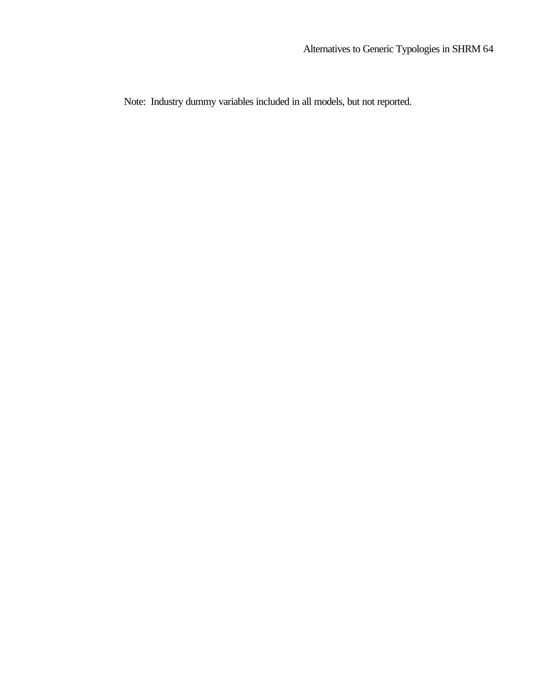Note: Industry dummy variables included in all models, but not reported.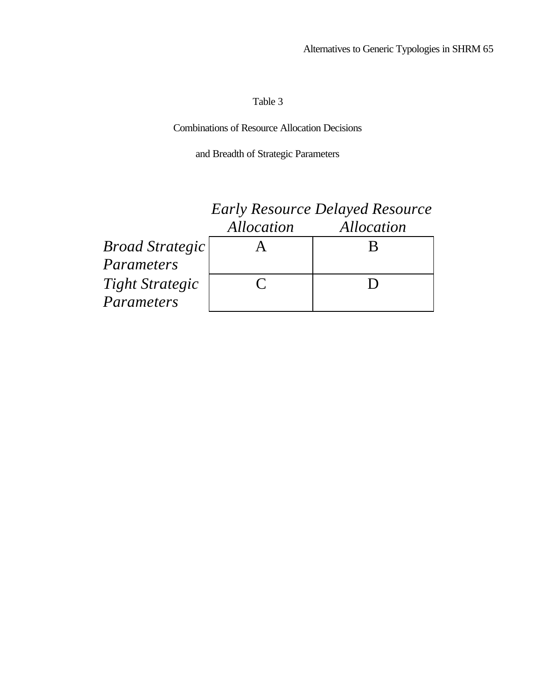## Table 3

Combinations of Resource Allocation Decisions

and Breadth of Strategic Parameters

|                        | <b>Early Resource Delayed Resource</b> |            |  |  |
|------------------------|----------------------------------------|------------|--|--|
|                        | Allocation                             | Allocation |  |  |
| <b>Broad Strategic</b> |                                        |            |  |  |
| Parameters             |                                        |            |  |  |
| <b>Tight Strategic</b> | $\mathcal{C}$                          |            |  |  |
| Parameters             |                                        |            |  |  |